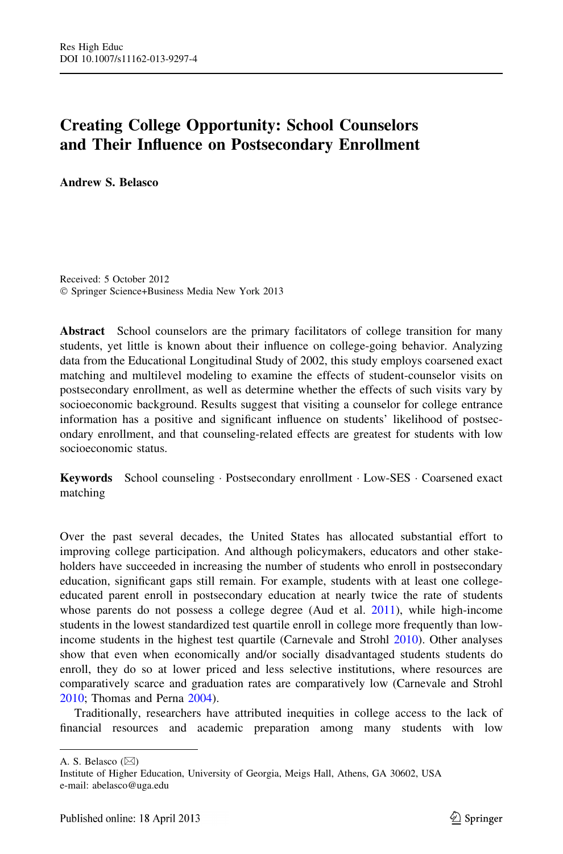# Creating College Opportunity: School Counselors and Their Influence on Postsecondary Enrollment

Andrew S. Belasco

Received: 5 October 2012 - Springer Science+Business Media New York 2013

Abstract School counselors are the primary facilitators of college transition for many students, yet little is known about their influence on college-going behavior. Analyzing data from the Educational Longitudinal Study of 2002, this study employs coarsened exact matching and multilevel modeling to examine the effects of student-counselor visits on postsecondary enrollment, as well as determine whether the effects of such visits vary by socioeconomic background. Results suggest that visiting a counselor for college entrance information has a positive and significant influence on students' likelihood of postsecondary enrollment, and that counseling-related effects are greatest for students with low socioeconomic status.

Keywords School counseling · Postsecondary enrollment · Low-SES · Coarsened exact matching

Over the past several decades, the United States has allocated substantial effort to improving college participation. And although policymakers, educators and other stakeholders have succeeded in increasing the number of students who enroll in postsecondary education, significant gaps still remain. For example, students with at least one collegeeducated parent enroll in postsecondary education at nearly twice the rate of students whose parents do not possess a college degree (Aud et al. [2011](#page-19-0)), while high-income students in the lowest standardized test quartile enroll in college more frequently than lowincome students in the highest test quartile (Carnevale and Strohl [2010](#page-19-0)). Other analyses show that even when economically and/or socially disadvantaged students students do enroll, they do so at lower priced and less selective institutions, where resources are comparatively scarce and graduation rates are comparatively low (Carnevale and Strohl [2010;](#page-19-0) Thomas and Perna [2004\)](#page-23-0).

Traditionally, researchers have attributed inequities in college access to the lack of financial resources and academic preparation among many students with low

A. S. Belasco  $(\boxtimes)$ 

Institute of Higher Education, University of Georgia, Meigs Hall, Athens, GA 30602, USA e-mail: abelasco@uga.edu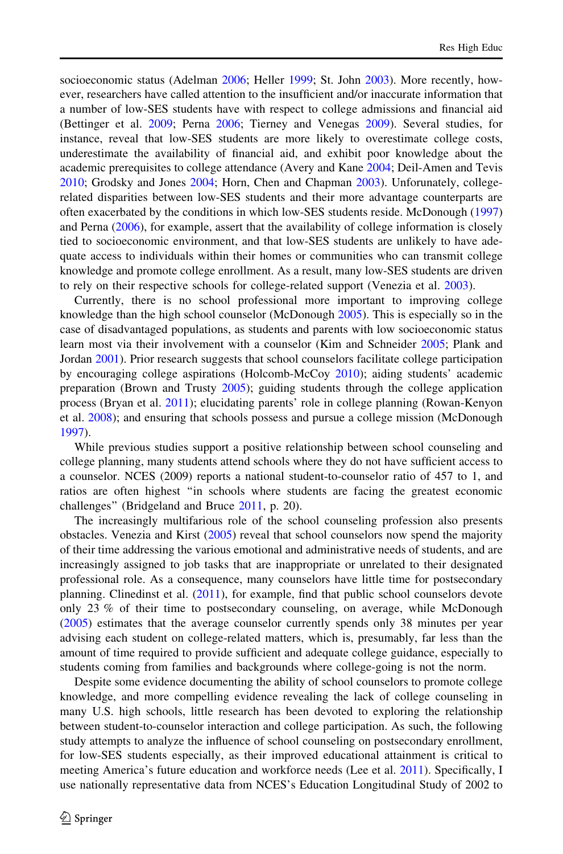socioeconomic status (Adelman [2006](#page-18-0); Heller [1999](#page-20-0); St. John [2003](#page-22-0)). More recently, however, researchers have called attention to the insufficient and/or inaccurate information that a number of low-SES students have with respect to college admissions and financial aid (Bettinger et al. [2009;](#page-19-0) Perna [2006;](#page-22-0) Tierney and Venegas [2009](#page-23-0)). Several studies, for instance, reveal that low-SES students are more likely to overestimate college costs, underestimate the availability of financial aid, and exhibit poor knowledge about the academic prerequisites to college attendance (Avery and Kane [2004](#page-19-0); Deil-Amen and Tevis [2010;](#page-20-0) Grodsky and Jones [2004](#page-20-0); Horn, Chen and Chapman [2003](#page-20-0)). Unforunately, collegerelated disparities between low-SES students and their more advantage counterparts are often exacerbated by the conditions in which low-SES students reside. McDonough ([1997](#page-21-0)) and Perna [\(2006](#page-22-0)), for example, assert that the availability of college information is closely tied to socioeconomic environment, and that low-SES students are unlikely to have adequate access to individuals within their homes or communities who can transmit college knowledge and promote college enrollment. As a result, many low-SES students are driven to rely on their respective schools for college-related support (Venezia et al. [2003\)](#page-23-0).

Currently, there is no school professional more important to improving college knowledge than the high school counselor (McDonough [2005\)](#page-21-0). This is especially so in the case of disadvantaged populations, as students and parents with low socioeconomic status learn most via their involvement with a counselor (Kim and Schneider [2005;](#page-21-0) Plank and Jordan [2001](#page-22-0)). Prior research suggests that school counselors facilitate college participation by encouraging college aspirations (Holcomb-McCoy [2010\)](#page-20-0); aiding students' academic preparation (Brown and Trusty [2005](#page-19-0)); guiding students through the college application process (Bryan et al. [2011\)](#page-19-0); elucidating parents' role in college planning (Rowan-Kenyon et al. [2008\)](#page-22-0); and ensuring that schools possess and pursue a college mission (McDonough [1997\)](#page-21-0).

While previous studies support a positive relationship between school counseling and college planning, many students attend schools where they do not have sufficient access to a counselor. NCES (2009) reports a national student-to-counselor ratio of 457 to 1, and ratios are often highest ''in schools where students are facing the greatest economic challenges'' (Bridgeland and Bruce [2011](#page-19-0), p. 20).

The increasingly multifarious role of the school counseling profession also presents obstacles. Venezia and Kirst [\(2005](#page-23-0)) reveal that school counselors now spend the majority of their time addressing the various emotional and administrative needs of students, and are increasingly assigned to job tasks that are inappropriate or unrelated to their designated professional role. As a consequence, many counselors have little time for postsecondary planning. Clinedinst et al. ([2011](#page-20-0)), for example, find that public school counselors devote only 23 % of their time to postsecondary counseling, on average, while McDonough ([2005\)](#page-21-0) estimates that the average counselor currently spends only 38 minutes per year advising each student on college-related matters, which is, presumably, far less than the amount of time required to provide sufficient and adequate college guidance, especially to students coming from families and backgrounds where college-going is not the norm.

Despite some evidence documenting the ability of school counselors to promote college knowledge, and more compelling evidence revealing the lack of college counseling in many U.S. high schools, little research has been devoted to exploring the relationship between student-to-counselor interaction and college participation. As such, the following study attempts to analyze the influence of school counseling on postsecondary enrollment, for low-SES students especially, as their improved educational attainment is critical to meeting America's future education and workforce needs (Lee et al. [2011](#page-21-0)). Specifically, I use nationally representative data from NCES's Education Longitudinal Study of 2002 to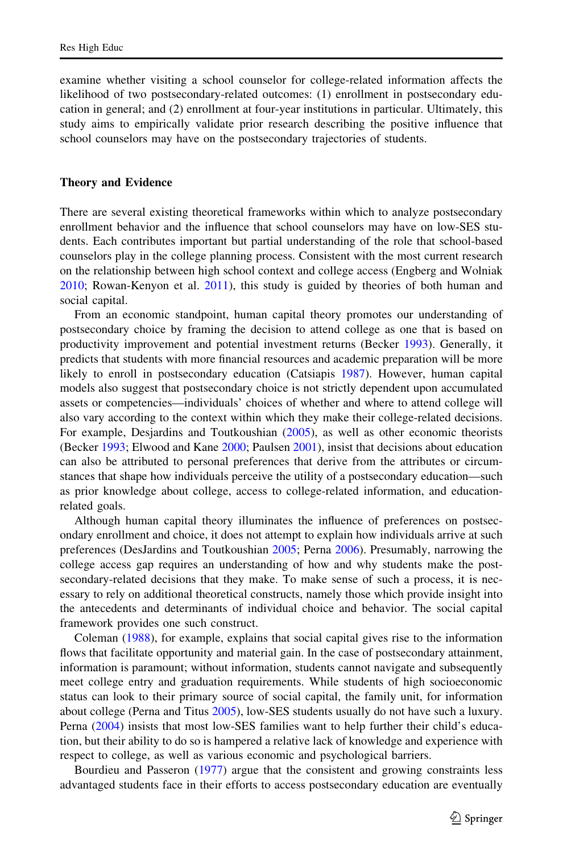examine whether visiting a school counselor for college-related information affects the likelihood of two postsecondary-related outcomes: (1) enrollment in postsecondary education in general; and (2) enrollment at four-year institutions in particular. Ultimately, this study aims to empirically validate prior research describing the positive influence that school counselors may have on the postsecondary trajectories of students.

#### Theory and Evidence

There are several existing theoretical frameworks within which to analyze postsecondary enrollment behavior and the influence that school counselors may have on low-SES students. Each contributes important but partial understanding of the role that school-based counselors play in the college planning process. Consistent with the most current research on the relationship between high school context and college access (Engberg and Wolniak [2010;](#page-20-0) Rowan-Kenyon et al. [2011\)](#page-22-0), this study is guided by theories of both human and social capital.

From an economic standpoint, human capital theory promotes our understanding of postsecondary choice by framing the decision to attend college as one that is based on productivity improvement and potential investment returns (Becker [1993](#page-19-0)). Generally, it predicts that students with more financial resources and academic preparation will be more likely to enroll in postsecondary education (Catsiapis [1987](#page-19-0)). However, human capital models also suggest that postsecondary choice is not strictly dependent upon accumulated assets or competencies—individuals' choices of whether and where to attend college will also vary according to the context within which they make their college-related decisions. For example, Desjardins and Toutkoushian ([2005\)](#page-20-0), as well as other economic theorists (Becker [1993](#page-19-0); Elwood and Kane [2000](#page-20-0); Paulsen [2001\)](#page-22-0), insist that decisions about education can also be attributed to personal preferences that derive from the attributes or circumstances that shape how individuals perceive the utility of a postsecondary education—such as prior knowledge about college, access to college-related information, and educationrelated goals.

Although human capital theory illuminates the influence of preferences on postsecondary enrollment and choice, it does not attempt to explain how individuals arrive at such preferences (DesJardins and Toutkoushian [2005;](#page-20-0) Perna [2006\)](#page-22-0). Presumably, narrowing the college access gap requires an understanding of how and why students make the postsecondary-related decisions that they make. To make sense of such a process, it is necessary to rely on additional theoretical constructs, namely those which provide insight into the antecedents and determinants of individual choice and behavior. The social capital framework provides one such construct.

Coleman ([1988](#page-20-0)), for example, explains that social capital gives rise to the information flows that facilitate opportunity and material gain. In the case of postsecondary attainment, information is paramount; without information, students cannot navigate and subsequently meet college entry and graduation requirements. While students of high socioeconomic status can look to their primary source of social capital, the family unit, for information about college (Perna and Titus [2005\)](#page-22-0), low-SES students usually do not have such a luxury. Perna ([2004\)](#page-22-0) insists that most low-SES families want to help further their child's education, but their ability to do so is hampered a relative lack of knowledge and experience with respect to college, as well as various economic and psychological barriers.

Bourdieu and Passeron [\(1977\)](#page-19-0) argue that the consistent and growing constraints less advantaged students face in their efforts to access postsecondary education are eventually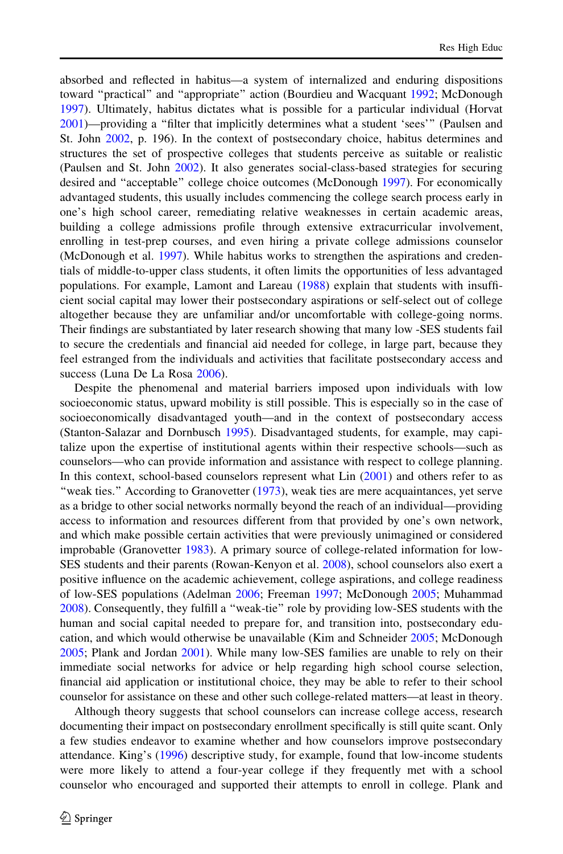absorbed and reflected in habitus—a system of internalized and enduring dispositions toward ''practical'' and ''appropriate'' action (Bourdieu and Wacquant [1992](#page-19-0); McDonough [1997\)](#page-21-0). Ultimately, habitus dictates what is possible for a particular individual (Horvat [2001\)](#page-20-0)—providing a ''filter that implicitly determines what a student 'sees''' (Paulsen and St. John [2002](#page-22-0), p. 196). In the context of postsecondary choice, habitus determines and structures the set of prospective colleges that students perceive as suitable or realistic (Paulsen and St. John [2002\)](#page-22-0). It also generates social-class-based strategies for securing desired and ''acceptable'' college choice outcomes (McDonough [1997](#page-21-0)). For economically advantaged students, this usually includes commencing the college search process early in one's high school career, remediating relative weaknesses in certain academic areas, building a college admissions profile through extensive extracurricular involvement, enrolling in test-prep courses, and even hiring a private college admissions counselor (McDonough et al. [1997](#page-21-0)). While habitus works to strengthen the aspirations and credentials of middle-to-upper class students, it often limits the opportunities of less advantaged populations. For example, Lamont and Lareau [\(1988](#page-21-0)) explain that students with insufficient social capital may lower their postsecondary aspirations or self-select out of college altogether because they are unfamiliar and/or uncomfortable with college-going norms. Their findings are substantiated by later research showing that many low -SES students fail to secure the credentials and financial aid needed for college, in large part, because they feel estranged from the individuals and activities that facilitate postsecondary access and success (Luna De La Rosa [2006\)](#page-21-0).

Despite the phenomenal and material barriers imposed upon individuals with low socioeconomic status, upward mobility is still possible. This is especially so in the case of socioeconomically disadvantaged youth—and in the context of postsecondary access (Stanton-Salazar and Dornbusch [1995\)](#page-22-0). Disadvantaged students, for example, may capitalize upon the expertise of institutional agents within their respective schools—such as counselors—who can provide information and assistance with respect to college planning. In this context, school-based counselors represent what Lin [\(2001](#page-21-0)) and others refer to as "weak ties." According to Granovetter [\(1973](#page-20-0)), weak ties are mere acquaintances, yet serve as a bridge to other social networks normally beyond the reach of an individual—providing access to information and resources different from that provided by one's own network, and which make possible certain activities that were previously unimagined or considered improbable (Granovetter [1983\)](#page-20-0). A primary source of college-related information for low-SES students and their parents (Rowan-Kenyon et al. [2008\)](#page-22-0), school counselors also exert a positive influence on the academic achievement, college aspirations, and college readiness of low-SES populations (Adelman [2006;](#page-18-0) Freeman [1997;](#page-20-0) McDonough [2005;](#page-21-0) Muhammad [2008\)](#page-21-0). Consequently, they fulfill a ''weak-tie'' role by providing low-SES students with the human and social capital needed to prepare for, and transition into, postsecondary education, and which would otherwise be unavailable (Kim and Schneider [2005;](#page-21-0) McDonough [2005;](#page-21-0) Plank and Jordan [2001\)](#page-22-0). While many low-SES families are unable to rely on their immediate social networks for advice or help regarding high school course selection, financial aid application or institutional choice, they may be able to refer to their school counselor for assistance on these and other such college-related matters—at least in theory.

Although theory suggests that school counselors can increase college access, research documenting their impact on postsecondary enrollment specifically is still quite scant. Only a few studies endeavor to examine whether and how counselors improve postsecondary attendance. King's [\(1996](#page-21-0)) descriptive study, for example, found that low-income students were more likely to attend a four-year college if they frequently met with a school counselor who encouraged and supported their attempts to enroll in college. Plank and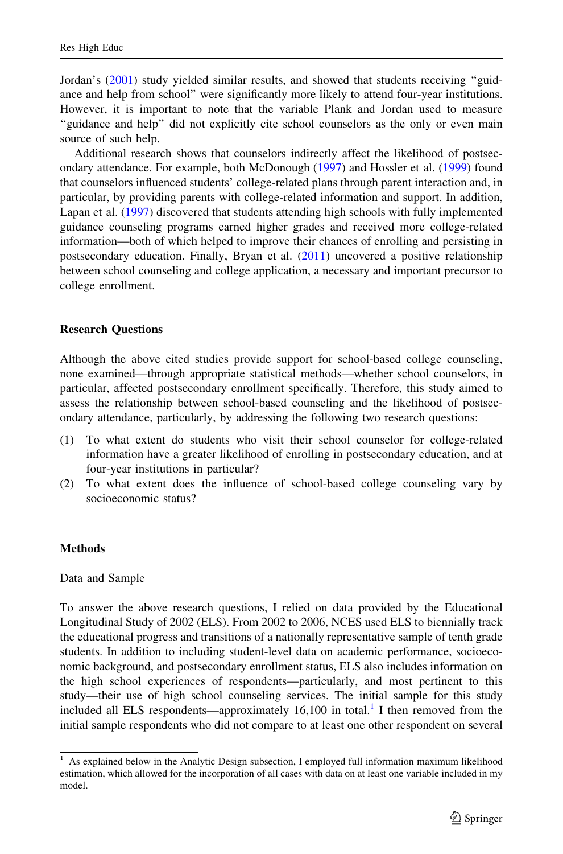Jordan's [\(2001](#page-22-0)) study yielded similar results, and showed that students receiving ''guidance and help from school'' were significantly more likely to attend four-year institutions. However, it is important to note that the variable Plank and Jordan used to measure "guidance and help" did not explicitly cite school counselors as the only or even main source of such help.

Additional research shows that counselors indirectly affect the likelihood of postsecondary attendance. For example, both McDonough ([1997\)](#page-21-0) and Hossler et al. ([1999\)](#page-21-0) found that counselors influenced students' college-related plans through parent interaction and, in particular, by providing parents with college-related information and support. In addition, Lapan et al. ([1997\)](#page-21-0) discovered that students attending high schools with fully implemented guidance counseling programs earned higher grades and received more college-related information—both of which helped to improve their chances of enrolling and persisting in postsecondary education. Finally, Bryan et al. ([2011](#page-19-0)) uncovered a positive relationship between school counseling and college application, a necessary and important precursor to college enrollment.

#### Research Questions

Although the above cited studies provide support for school-based college counseling, none examined—through appropriate statistical methods—whether school counselors, in particular, affected postsecondary enrollment specifically. Therefore, this study aimed to assess the relationship between school-based counseling and the likelihood of postsecondary attendance, particularly, by addressing the following two research questions:

- (1) To what extent do students who visit their school counselor for college-related information have a greater likelihood of enrolling in postsecondary education, and at four-year institutions in particular?
- (2) To what extent does the influence of school-based college counseling vary by socioeconomic status?

# **Methods**

Data and Sample

To answer the above research questions, I relied on data provided by the Educational Longitudinal Study of 2002 (ELS). From 2002 to 2006, NCES used ELS to biennially track the educational progress and transitions of a nationally representative sample of tenth grade students. In addition to including student-level data on academic performance, socioeconomic background, and postsecondary enrollment status, ELS also includes information on the high school experiences of respondents—particularly, and most pertinent to this study—their use of high school counseling services. The initial sample for this study included all ELS respondents—approximately  $16,100$  in total.<sup>1</sup> I then removed from the initial sample respondents who did not compare to at least one other respondent on several

 $<sup>1</sup>$  As explained below in the Analytic Design subsection, I employed full information maximum likelihood</sup> estimation, which allowed for the incorporation of all cases with data on at least one variable included in my model.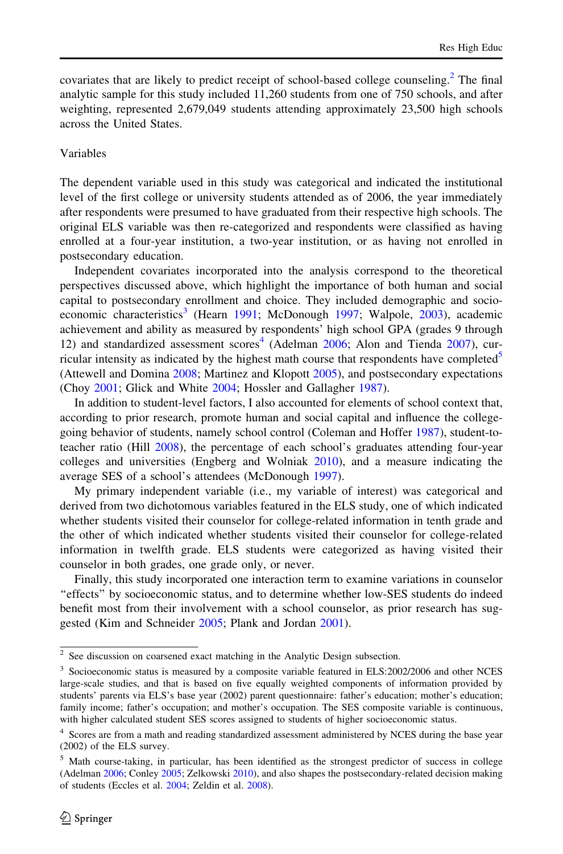covariates that are likely to predict receipt of school-based college counseling.<sup>2</sup> The final analytic sample for this study included 11,260 students from one of 750 schools, and after weighting, represented 2,679,049 students attending approximately 23,500 high schools across the United States.

# Variables

The dependent variable used in this study was categorical and indicated the institutional level of the first college or university students attended as of 2006, the year immediately after respondents were presumed to have graduated from their respective high schools. The original ELS variable was then re-categorized and respondents were classified as having enrolled at a four-year institution, a two-year institution, or as having not enrolled in postsecondary education.

Independent covariates incorporated into the analysis correspond to the theoretical perspectives discussed above, which highlight the importance of both human and social capital to postsecondary enrollment and choice. They included demographic and socio-economic characteristics<sup>3</sup> (Hearn [1991](#page-20-0); McDonough [1997](#page-21-0); Walpole, [2003](#page-23-0)), academic achievement and ability as measured by respondents' high school GPA (grades 9 through 12) and standardized assessment scores<sup>4</sup> (Adelman [2006](#page-18-0); Alon and Tienda [2007\)](#page-19-0), curricular intensity as indicated by the highest math course that respondents have completed<sup>5</sup> (Attewell and Domina [2008](#page-19-0); Martinez and Klopott [2005\)](#page-21-0), and postsecondary expectations (Choy [2001;](#page-19-0) Glick and White [2004;](#page-20-0) Hossler and Gallagher [1987\)](#page-21-0).

In addition to student-level factors, I also accounted for elements of school context that, according to prior research, promote human and social capital and influence the collegegoing behavior of students, namely school control (Coleman and Hoffer [1987](#page-20-0)), student-toteacher ratio (Hill [2008\)](#page-20-0), the percentage of each school's graduates attending four-year colleges and universities (Engberg and Wolniak [2010](#page-20-0)), and a measure indicating the average SES of a school's attendees (McDonough [1997\)](#page-21-0).

My primary independent variable (i.e., my variable of interest) was categorical and derived from two dichotomous variables featured in the ELS study, one of which indicated whether students visited their counselor for college-related information in tenth grade and the other of which indicated whether students visited their counselor for college-related information in twelfth grade. ELS students were categorized as having visited their counselor in both grades, one grade only, or never.

Finally, this study incorporated one interaction term to examine variations in counselor ''effects'' by socioeconomic status, and to determine whether low-SES students do indeed benefit most from their involvement with a school counselor, as prior research has suggested (Kim and Schneider [2005](#page-21-0); Plank and Jordan [2001\)](#page-22-0).

<sup>&</sup>lt;sup>2</sup> See discussion on coarsened exact matching in the Analytic Design subsection.

<sup>&</sup>lt;sup>3</sup> Socioeconomic status is measured by a composite variable featured in ELS:2002/2006 and other NCES large-scale studies, and that is based on five equally weighted components of information provided by students' parents via ELS's base year (2002) parent questionnaire: father's education; mother's education; family income; father's occupation; and mother's occupation. The SES composite variable is continuous, with higher calculated student SES scores assigned to students of higher socioeconomic status.

<sup>4</sup> Scores are from a math and reading standardized assessment administered by NCES during the base year (2002) of the ELS survey.

<sup>5</sup> Math course-taking, in particular, has been identified as the strongest predictor of success in college (Adelman [2006;](#page-18-0) Conley [2005;](#page-20-0) Zelkowski [2010\)](#page-23-0), and also shapes the postsecondary-related decision making of students (Eccles et al. [2004;](#page-20-0) Zeldin et al. [2008\)](#page-23-0).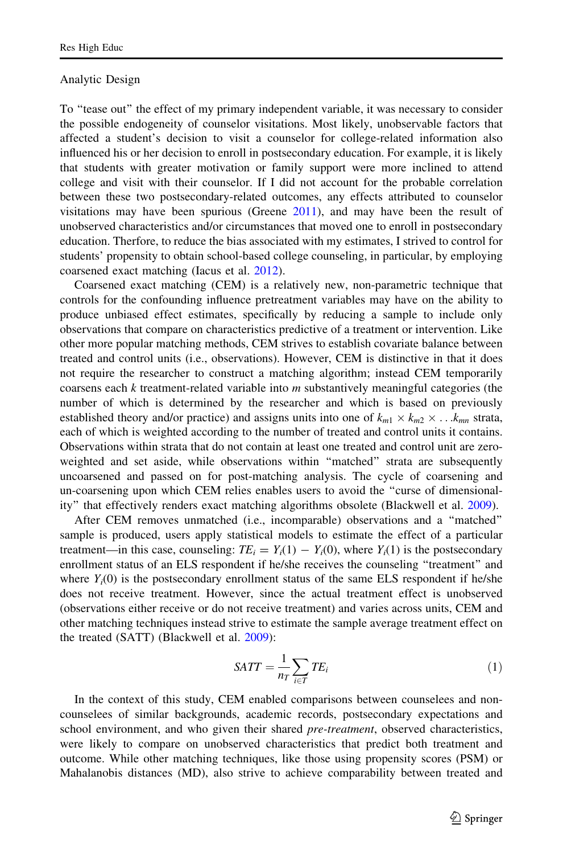#### Analytic Design

To "tease out" the effect of my primary independent variable, it was necessary to consider the possible endogeneity of counselor visitations. Most likely, unobservable factors that affected a student's decision to visit a counselor for college-related information also influenced his or her decision to enroll in postsecondary education. For example, it is likely that students with greater motivation or family support were more inclined to attend college and visit with their counselor. If I did not account for the probable correlation between these two postsecondary-related outcomes, any effects attributed to counselor visitations may have been spurious (Greene [2011\)](#page-20-0), and may have been the result of unobserved characteristics and/or circumstances that moved one to enroll in postsecondary education. Therfore, to reduce the bias associated with my estimates, I strived to control for students' propensity to obtain school-based college counseling, in particular, by employing coarsened exact matching (Iacus et al. [2012](#page-21-0)).

Coarsened exact matching (CEM) is a relatively new, non-parametric technique that controls for the confounding influence pretreatment variables may have on the ability to produce unbiased effect estimates, specifically by reducing a sample to include only observations that compare on characteristics predictive of a treatment or intervention. Like other more popular matching methods, CEM strives to establish covariate balance between treated and control units (i.e., observations). However, CEM is distinctive in that it does not require the researcher to construct a matching algorithm; instead CEM temporarily coarsens each  $k$  treatment-related variable into  $m$  substantively meaningful categories (the number of which is determined by the researcher and which is based on previously established theory and/or practice) and assigns units into one of  $k_{m1} \times k_{m2} \times \ldots k_{mn}$  strata, each of which is weighted according to the number of treated and control units it contains. Observations within strata that do not contain at least one treated and control unit are zeroweighted and set aside, while observations within ''matched'' strata are subsequently uncoarsened and passed on for post-matching analysis. The cycle of coarsening and un-coarsening upon which CEM relies enables users to avoid the ''curse of dimensionality'' that effectively renders exact matching algorithms obsolete (Blackwell et al. [2009](#page-19-0)).

After CEM removes unmatched (i.e., incomparable) observations and a ''matched'' sample is produced, users apply statistical models to estimate the effect of a particular treatment—in this case, counseling:  $TE_i = Y_i(1) - Y_i(0)$ , where  $Y_i(1)$  is the postsecondary enrollment status of an ELS respondent if he/she receives the counseling ''treatment'' and where  $Y_i(0)$  is the postsecondary enrollment status of the same ELS respondent if he/she does not receive treatment. However, since the actual treatment effect is unobserved (observations either receive or do not receive treatment) and varies across units, CEM and other matching techniques instead strive to estimate the sample average treatment effect on the treated (SATT) (Blackwell et al. [2009\)](#page-19-0):

$$
SATT = \frac{1}{n_T} \sum_{i \in T} TE_i
$$
\n(1)

In the context of this study, CEM enabled comparisons between counselees and noncounselees of similar backgrounds, academic records, postsecondary expectations and school environment, and who given their shared *pre-treatment*, observed characteristics, were likely to compare on unobserved characteristics that predict both treatment and outcome. While other matching techniques, like those using propensity scores (PSM) or Mahalanobis distances (MD), also strive to achieve comparability between treated and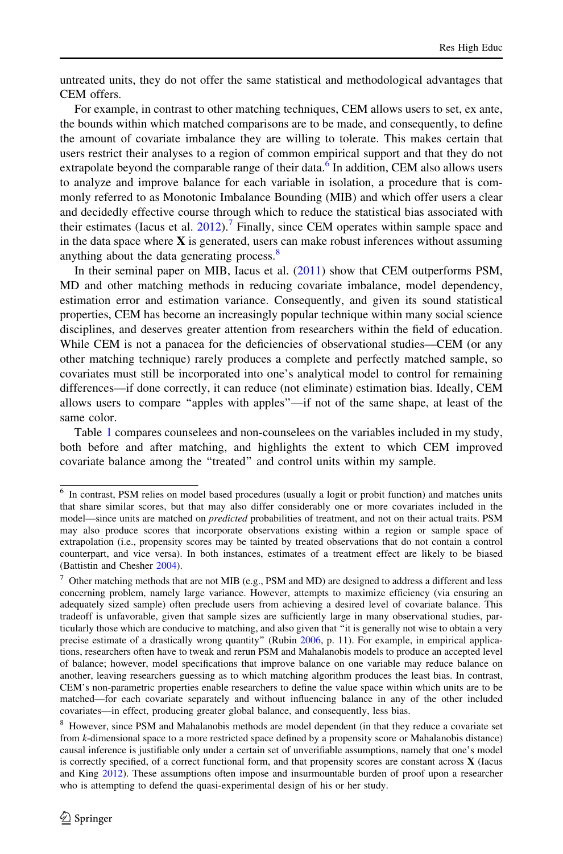untreated units, they do not offer the same statistical and methodological advantages that CEM offers.

For example, in contrast to other matching techniques, CEM allows users to set, ex ante, the bounds within which matched comparisons are to be made, and consequently, to define the amount of covariate imbalance they are willing to tolerate. This makes certain that users restrict their analyses to a region of common empirical support and that they do not extrapolate beyond the comparable range of their data.<sup>6</sup> In addition, CEM also allows users to analyze and improve balance for each variable in isolation, a procedure that is commonly referred to as Monotonic Imbalance Bounding (MIB) and which offer users a clear and decidedly effective course through which to reduce the statistical bias associated with their estimates (Iacus et al.  $2012$ ).<sup>7</sup> Finally, since CEM operates within sample space and in the data space where  $X$  is generated, users can make robust inferences without assuming anything about the data generating process.<sup>8</sup>

In their seminal paper on MIB, Iacus et al. [\(2011](#page-21-0)) show that CEM outperforms PSM, MD and other matching methods in reducing covariate imbalance, model dependency, estimation error and estimation variance. Consequently, and given its sound statistical properties, CEM has become an increasingly popular technique within many social science disciplines, and deserves greater attention from researchers within the field of education. While CEM is not a panacea for the deficiencies of observational studies—CEM (or any other matching technique) rarely produces a complete and perfectly matched sample, so covariates must still be incorporated into one's analytical model to control for remaining differences—if done correctly, it can reduce (not eliminate) estimation bias. Ideally, CEM allows users to compare ''apples with apples''—if not of the same shape, at least of the same color.

Table [1](#page-8-0) compares counselees and non-counselees on the variables included in my study, both before and after matching, and highlights the extent to which CEM improved covariate balance among the ''treated'' and control units within my sample.

<sup>6</sup> In contrast, PSM relies on model based procedures (usually a logit or probit function) and matches units that share similar scores, but that may also differ considerably one or more covariates included in the model—since units are matched on *predicted* probabilities of treatment, and not on their actual traits. PSM may also produce scores that incorporate observations existing within a region or sample space of extrapolation (i.e., propensity scores may be tainted by treated observations that do not contain a control counterpart, and vice versa). In both instances, estimates of a treatment effect are likely to be biased (Battistin and Chesher [2004\)](#page-19-0).

 $7$  Other matching methods that are not MIB (e.g., PSM and MD) are designed to address a different and less concerning problem, namely large variance. However, attempts to maximize efficiency (via ensuring an adequately sized sample) often preclude users from achieving a desired level of covariate balance. This tradeoff is unfavorable, given that sample sizes are sufficiently large in many observational studies, particularly those which are conducive to matching, and also given that ''it is generally not wise to obtain a very precise estimate of a drastically wrong quantity'' (Rubin [2006](#page-22-0), p. 11). For example, in empirical applications, researchers often have to tweak and rerun PSM and Mahalanobis models to produce an accepted level of balance; however, model specifications that improve balance on one variable may reduce balance on another, leaving researchers guessing as to which matching algorithm produces the least bias. In contrast, CEM's non-parametric properties enable researchers to define the value space within which units are to be matched—for each covariate separately and without influencing balance in any of the other included covariates—in effect, producing greater global balance, and consequently, less bias.

<sup>8</sup> However, since PSM and Mahalanobis methods are model dependent (in that they reduce a covariate set from k-dimensional space to a more restricted space defined by a propensity score or Mahalanobis distance) causal inference is justifiable only under a certain set of unverifiable assumptions, namely that one's model is correctly specified, of a correct functional form, and that propensity scores are constant across X (Iacus and King [2012\)](#page-21-0). These assumptions often impose and insurmountable burden of proof upon a researcher who is attempting to defend the quasi-experimental design of his or her study.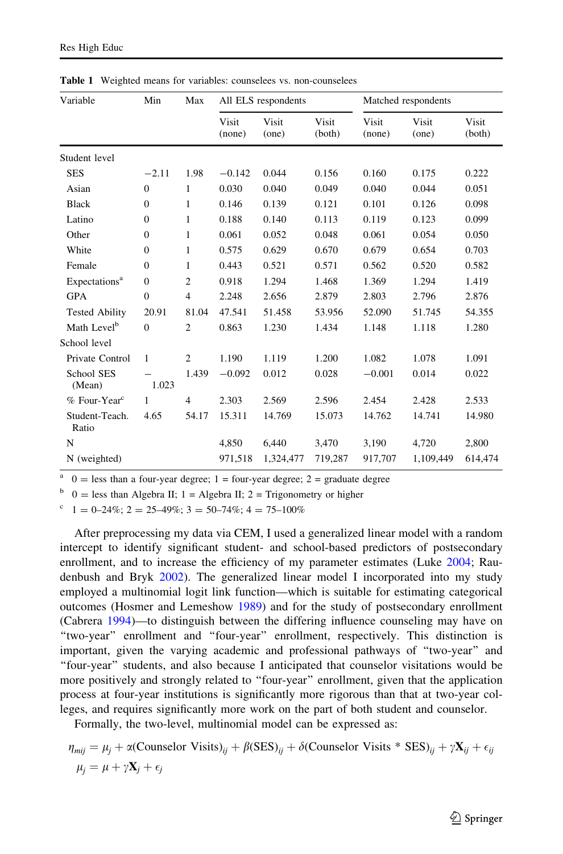| Variable                  | Min            | Max            |                 | All ELS respondents |                 |                 | Matched respondents |                 |
|---------------------------|----------------|----------------|-----------------|---------------------|-----------------|-----------------|---------------------|-----------------|
|                           |                |                | Visit<br>(none) | Visit<br>(one)      | Visit<br>(both) | Visit<br>(none) | Visit<br>(one)      | Visit<br>(both) |
| Student level             |                |                |                 |                     |                 |                 |                     |                 |
| <b>SES</b>                | $-2.11$        | 1.98           | $-0.142$        | 0.044               | 0.156           | 0.160           | 0.175               | 0.222           |
| Asian                     | $\mathbf{0}$   | 1              | 0.030           | 0.040               | 0.049           | 0.040           | 0.044               | 0.051           |
| <b>Black</b>              | $\Omega$       | $\mathbf{1}$   | 0.146           | 0.139               | 0.121           | 0.101           | 0.126               | 0.098           |
| Latino                    | $\mathbf{0}$   | $\mathbf{1}$   | 0.188           | 0.140               | 0.113           | 0.119           | 0.123               | 0.099           |
| Other                     | $\mathbf{0}$   | $\mathbf{1}$   | 0.061           | 0.052               | 0.048           | 0.061           | 0.054               | 0.050           |
| White                     | $\mathbf{0}$   | $\mathbf{1}$   | 0.575           | 0.629               | 0.670           | 0.679           | 0.654               | 0.703           |
| Female                    | $\Omega$       | $\mathbf{1}$   | 0.443           | 0.521               | 0.571           | 0.562           | 0.520               | 0.582           |
| Expectations <sup>a</sup> | $\overline{0}$ | $\overline{c}$ | 0.918           | 1.294               | 1.468           | 1.369           | 1.294               | 1.419           |
| <b>GPA</b>                | $\mathbf{0}$   | $\overline{4}$ | 2.248           | 2.656               | 2.879           | 2.803           | 2.796               | 2.876           |
| <b>Tested Ability</b>     | 20.91          | 81.04          | 47.541          | 51.458              | 53.956          | 52.090          | 51.745              | 54.355          |
| Math Level <sup>b</sup>   | $\mathbf{0}$   | $\overline{2}$ | 0.863           | 1.230               | 1.434           | 1.148           | 1.118               | 1.280           |
| School level              |                |                |                 |                     |                 |                 |                     |                 |
| Private Control           | $\mathbf{1}$   | $\overline{2}$ | 1.190           | 1.119               | 1.200           | 1.082           | 1.078               | 1.091           |
| School SES<br>(Mean)      | 1.023          | 1.439          | $-0.092$        | 0.012               | 0.028           | $-0.001$        | 0.014               | 0.022           |
| % Four-Year <sup>c</sup>  | 1              | 4              | 2.303           | 2.569               | 2.596           | 2.454           | 2.428               | 2.533           |
| Student-Teach.<br>Ratio   | 4.65           | 54.17          | 15.311          | 14.769              | 15.073          | 14.762          | 14.741              | 14.980          |
| N                         |                |                | 4,850           | 6,440               | 3,470           | 3,190           | 4,720               | 2,800           |
| N (weighted)              |                |                | 971,518         | 1,324,477           | 719,287         | 917,707         | 1,109,449           | 614,474         |

<span id="page-8-0"></span>Table 1 Weighted means for variables: counselees vs. non-counselees

<sup>a</sup> 0 = less than a four-year degree; 1 = four-year degree; 2 = graduate degree

 $b \quad 0 =$  less than Algebra II; 1 = Algebra II; 2 = Trigonometry or higher

 $c = 1 = 0$ –24%; 2 = 25–49%; 3 = 50–74%; 4 = 75–100%

After preprocessing my data via CEM, I used a generalized linear model with a random intercept to identify significant student- and school-based predictors of postsecondary enrollment, and to increase the efficiency of my parameter estimates (Luke [2004;](#page-21-0) Raudenbush and Bryk [2002](#page-22-0)). The generalized linear model I incorporated into my study employed a multinomial logit link function—which is suitable for estimating categorical outcomes (Hosmer and Lemeshow [1989\)](#page-21-0) and for the study of postsecondary enrollment (Cabrera [1994\)](#page-19-0)—to distinguish between the differing influence counseling may have on "two-year" enrollment and "four-year" enrollment, respectively. This distinction is important, given the varying academic and professional pathways of ''two-year'' and ''four-year'' students, and also because I anticipated that counselor visitations would be more positively and strongly related to ''four-year'' enrollment, given that the application process at four-year institutions is significantly more rigorous than that at two-year colleges, and requires significantly more work on the part of both student and counselor.

Formally, the two-level, multinomial model can be expressed as:

$$
\eta_{mij} = \mu_j + \alpha \text{(Counselor Visits)}_{ij} + \beta \text{(SES)}_{ij} + \delta \text{(Counselor Visits * SES)}_{ij} + \gamma \textbf{X}_{ij} + \epsilon_{ij}
$$

$$
\mu_j = \mu + \gamma \textbf{X}_j + \epsilon_j
$$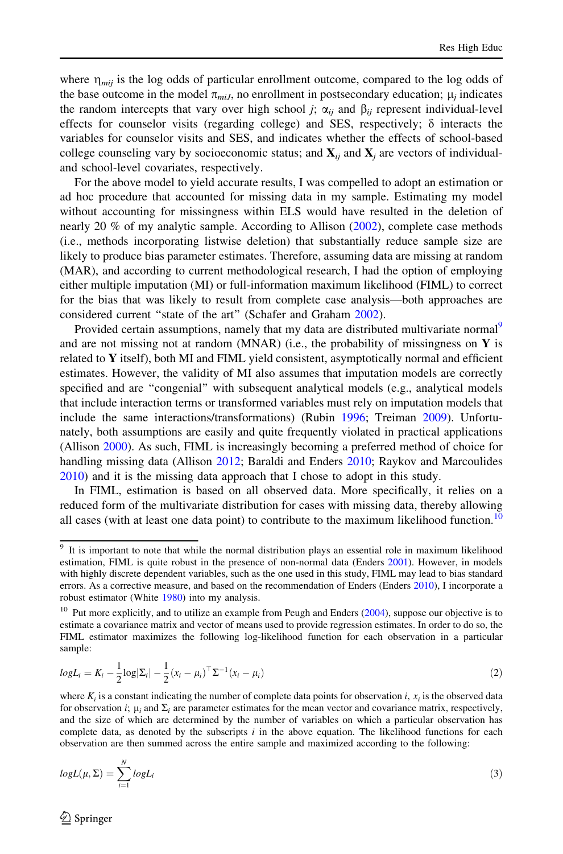where  $\eta_{mii}$  is the log odds of particular enrollment outcome, compared to the log odds of the base outcome in the model  $\pi_{miJ}$ , no enrollment in postsecondary education;  $\mu_j$  indicates the random intercepts that vary over high school j;  $\alpha_{ii}$  and  $\beta_{ii}$  represent individual-level effects for counselor visits (regarding college) and SES, respectively;  $\delta$  interacts the variables for counselor visits and SES, and indicates whether the effects of school-based college counseling vary by socioeconomic status; and  $X_{ij}$  and  $X_j$  are vectors of individualand school-level covariates, respectively.

For the above model to yield accurate results, I was compelled to adopt an estimation or ad hoc procedure that accounted for missing data in my sample. Estimating my model without accounting for missingness within ELS would have resulted in the deletion of nearly 20 % of my analytic sample. According to Allison ([2002\)](#page-19-0), complete case methods (i.e., methods incorporating listwise deletion) that substantially reduce sample size are likely to produce bias parameter estimates. Therefore, assuming data are missing at random (MAR), and according to current methodological research, I had the option of employing either multiple imputation (MI) or full-information maximum likelihood (FIML) to correct for the bias that was likely to result from complete case analysis—both approaches are considered current ''state of the art'' (Schafer and Graham [2002\)](#page-22-0).

Provided certain assumptions, namely that my data are distributed multivariate normal<sup>9</sup> and are not missing not at random ( $MNAR$ ) (i.e., the probability of missingness on  $Y$  is related to  $Y$  itself), both MI and FIML yield consistent, asymptotically normal and efficient estimates. However, the validity of MI also assumes that imputation models are correctly specified and are "congenial" with subsequent analytical models (e.g., analytical models that include interaction terms or transformed variables must rely on imputation models that include the same interactions/transformations) (Rubin [1996](#page-22-0); Treiman [2009](#page-23-0)). Unfortunately, both assumptions are easily and quite frequently violated in practical applications (Allison [2000](#page-18-0)). As such, FIML is increasingly becoming a preferred method of choice for handling missing data (Allison [2012;](#page-19-0) Baraldi and Enders [2010;](#page-19-0) Raykov and Marcoulides [2010\)](#page-22-0) and it is the missing data approach that I chose to adopt in this study.

In FIML, estimation is based on all observed data. More specifically, it relies on a reduced form of the multivariate distribution for cases with missing data, thereby allowing all cases (with at least one data point) to contribute to the maximum likelihood function.<sup>10</sup>

$$
log L_i = K_i - \frac{1}{2} log |\Sigma_i| - \frac{1}{2} (x_i - \mu_i)^{\top} \Sigma^{-1} (x_i - \mu_i)
$$
 (2)

where  $K_i$  is a constant indicating the number of complete data points for observation i,  $x_i$  is the observed data for observation i;  $\mu_i$  and  $\Sigma_i$  are parameter estimates for the mean vector and covariance matrix, respectively, and the size of which are determined by the number of variables on which a particular observation has complete data, as denoted by the subscripts *i* in the above equation. The likelihood functions for each observation are then summed across the entire sample and maximized according to the following:

$$
logL(\mu, \Sigma) = \sum_{i=1}^{N} logL_i
$$
\n(3)

 $\circled{2}$  Springer

<sup>&</sup>lt;sup>9</sup> It is important to note that while the normal distribution plays an essential role in maximum likelihood estimation, FIML is quite robust in the presence of non-normal data (Enders [2001\)](#page-20-0). However, in models with highly discrete dependent variables, such as the one used in this study, FIML may lead to bias standard errors. As a corrective measure, and based on the recommendation of Enders (Enders [2010\)](#page-20-0), I incorporate a robust estimator (White [1980](#page-23-0)) into my analysis.

 $10$  Put more explicitly, and to utilize an example from Peugh and Enders ([2004\)](#page-22-0), suppose our objective is to estimate a covariance matrix and vector of means used to provide regression estimates. In order to do so, the FIML estimator maximizes the following log-likelihood function for each observation in a particular sample: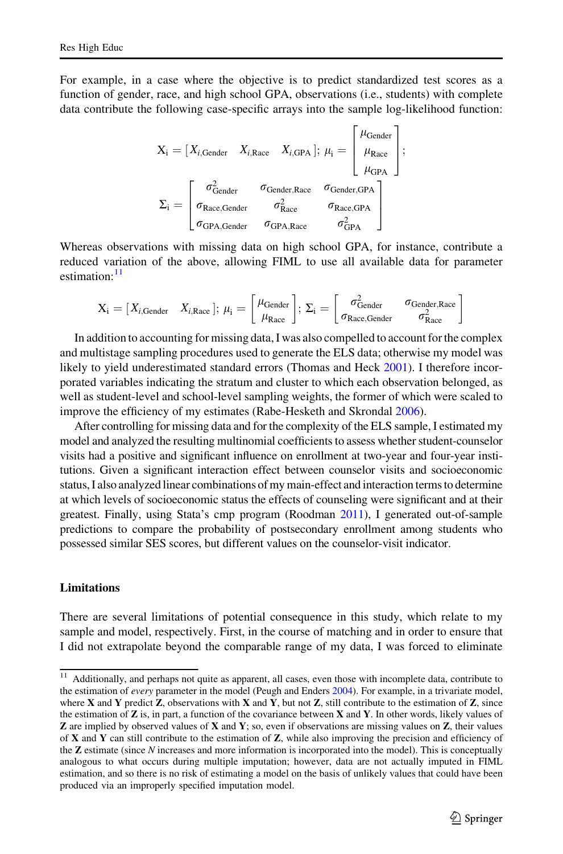For example, in a case where the objective is to predict standardized test scores as a function of gender, race, and high school GPA, observations (i.e., students) with complete data contribute the following case-specific arrays into the sample log-likelihood function:

$$
X_{i} = [X_{i, \text{Gender}} \quad X_{i, \text{Race}} \quad X_{i, \text{GPA}}]; \ \mu_{i} = \begin{bmatrix} \mu_{\text{Gender}} \\ \mu_{\text{Race}} \\ \mu_{\text{GPA}} \end{bmatrix};
$$

$$
\Sigma_{i} = \begin{bmatrix} \sigma_{\text{Gender}}^{2} & \sigma_{\text{Gender}, \text{Race}} & \sigma_{\text{Gender}, \text{GPA}} \\ \sigma_{\text{Race}, \text{Gender}} & \sigma_{\text{Race}}^{2} & \sigma_{\text{Race}, \text{GPA}} \\ \sigma_{\text{GPA}, \text{Gender}} & \sigma_{\text{GPA}, \text{Race}} & \sigma_{\text{GPA}}^{2} \end{bmatrix};
$$

Whereas observations with missing data on high school GPA, for instance, contribute a reduced variation of the above, allowing FIML to use all available data for parameter estimation:<sup>11</sup>

$$
X_i = [X_{i, \text{Gender}} \quad X_{i, \text{Race}}]; \ \mu_i = \begin{bmatrix} \mu_{\text{Gender}} \\ \mu_{\text{Race}} \end{bmatrix}; \ \Sigma_i = \begin{bmatrix} \sigma_{\text{Gender}}^2 & \sigma_{\text{Gender}, \text{Race}} \\ \sigma_{\text{Race}, \text{Gender}} & \sigma_{\text{Race}}^2 \end{bmatrix}
$$

In addition to accounting for missing data, I was also compelled to account for the complex and multistage sampling procedures used to generate the ELS data; otherwise my model was likely to yield underestimated standard errors (Thomas and Heck [2001\)](#page-22-0). I therefore incorporated variables indicating the stratum and cluster to which each observation belonged, as well as student-level and school-level sampling weights, the former of which were scaled to improve the efficiency of my estimates (Rabe-Hesketh and Skrondal [2006\)](#page-22-0).

After controlling for missing data and for the complexity of the ELS sample, I estimated my model and analyzed the resulting multinomial coefficients to assess whether student-counselor visits had a positive and significant influence on enrollment at two-year and four-year institutions. Given a significant interaction effect between counselor visits and socioeconomic status, I also analyzed linear combinations of my main-effect and interaction terms to determine at which levels of socioeconomic status the effects of counseling were significant and at their greatest. Finally, using Stata's cmp program (Roodman [2011](#page-22-0)), I generated out-of-sample predictions to compare the probability of postsecondary enrollment among students who possessed similar SES scores, but different values on the counselor-visit indicator.

## **Limitations**

There are several limitations of potential consequence in this study, which relate to my sample and model, respectively. First, in the course of matching and in order to ensure that I did not extrapolate beyond the comparable range of my data, I was forced to eliminate

<sup>&</sup>lt;sup>11</sup> Additionally, and perhaps not quite as apparent, all cases, even those with incomplete data, contribute to the estimation of every parameter in the model (Peugh and Enders [2004](#page-22-0)). For example, in a trivariate model, where **X** and **Y** predict **Z**, observations with **X** and **Y**, but not **Z**, still contribute to the estimation of **Z**, since the estimation of  $Z$  is, in part, a function of the covariance between  $X$  and  $Y$ . In other words, likely values of Z are implied by observed values of X and Y; so, even if observations are missing values on Z, their values of X and Y can still contribute to the estimation of Z, while also improving the precision and efficiency of the **Z** estimate (since N increases and more information is incorporated into the model). This is conceptually analogous to what occurs during multiple imputation; however, data are not actually imputed in FIML estimation, and so there is no risk of estimating a model on the basis of unlikely values that could have been produced via an improperly specified imputation model.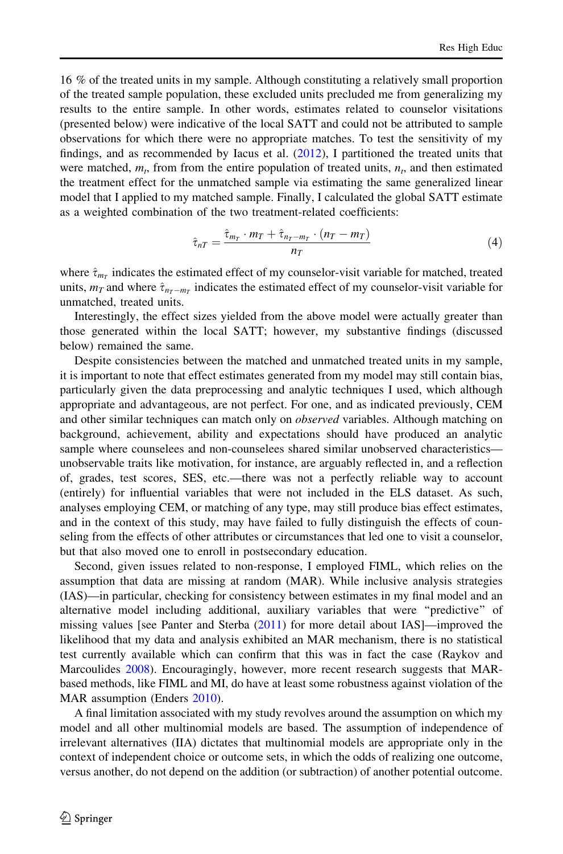16 % of the treated units in my sample. Although constituting a relatively small proportion of the treated sample population, these excluded units precluded me from generalizing my results to the entire sample. In other words, estimates related to counselor visitations (presented below) were indicative of the local SATT and could not be attributed to sample observations for which there were no appropriate matches. To test the sensitivity of my findings, and as recommended by Iacus et al.  $(2012)$  $(2012)$ , I partitioned the treated units that were matched,  $m_t$ , from from the entire population of treated units,  $n_t$ , and then estimated the treatment effect for the unmatched sample via estimating the same generalized linear model that I applied to my matched sample. Finally, I calculated the global SATT estimate as a weighted combination of the two treatment-related coefficients:

$$
\hat{\tau}_{nT} = \frac{\hat{\tau}_{m_T} \cdot m_T + \hat{\tau}_{n_T - m_T} \cdot (n_T - m_T)}{n_T} \tag{4}
$$

where  $\hat{\tau}_{mr}$  indicates the estimated effect of my counselor-visit variable for matched, treated units,  $m_T$  and where  $\hat{\tau}_{n_T-m_T}$  indicates the estimated effect of my counselor-visit variable for unmatched, treated units.

Interestingly, the effect sizes yielded from the above model were actually greater than those generated within the local SATT; however, my substantive findings (discussed below) remained the same.

Despite consistencies between the matched and unmatched treated units in my sample, it is important to note that effect estimates generated from my model may still contain bias, particularly given the data preprocessing and analytic techniques I used, which although appropriate and advantageous, are not perfect. For one, and as indicated previously, CEM and other similar techniques can match only on *observed* variables. Although matching on background, achievement, ability and expectations should have produced an analytic sample where counselees and non-counselees shared similar unobserved characteristics unobservable traits like motivation, for instance, are arguably reflected in, and a reflection of, grades, test scores, SES, etc.—there was not a perfectly reliable way to account (entirely) for influential variables that were not included in the ELS dataset. As such, analyses employing CEM, or matching of any type, may still produce bias effect estimates, and in the context of this study, may have failed to fully distinguish the effects of counseling from the effects of other attributes or circumstances that led one to visit a counselor, but that also moved one to enroll in postsecondary education.

Second, given issues related to non-response, I employed FIML, which relies on the assumption that data are missing at random (MAR). While inclusive analysis strategies (IAS)—in particular, checking for consistency between estimates in my final model and an alternative model including additional, auxiliary variables that were ''predictive'' of missing values [see Panter and Sterba [\(2011](#page-21-0)) for more detail about IAS]—improved the likelihood that my data and analysis exhibited an MAR mechanism, there is no statistical test currently available which can confirm that this was in fact the case (Raykov and Marcoulides [2008](#page-22-0)). Encouragingly, however, more recent research suggests that MARbased methods, like FIML and MI, do have at least some robustness against violation of the MAR assumption (Enders [2010](#page-20-0)).

A final limitation associated with my study revolves around the assumption on which my model and all other multinomial models are based. The assumption of independence of irrelevant alternatives (IIA) dictates that multinomial models are appropriate only in the context of independent choice or outcome sets, in which the odds of realizing one outcome, versus another, do not depend on the addition (or subtraction) of another potential outcome.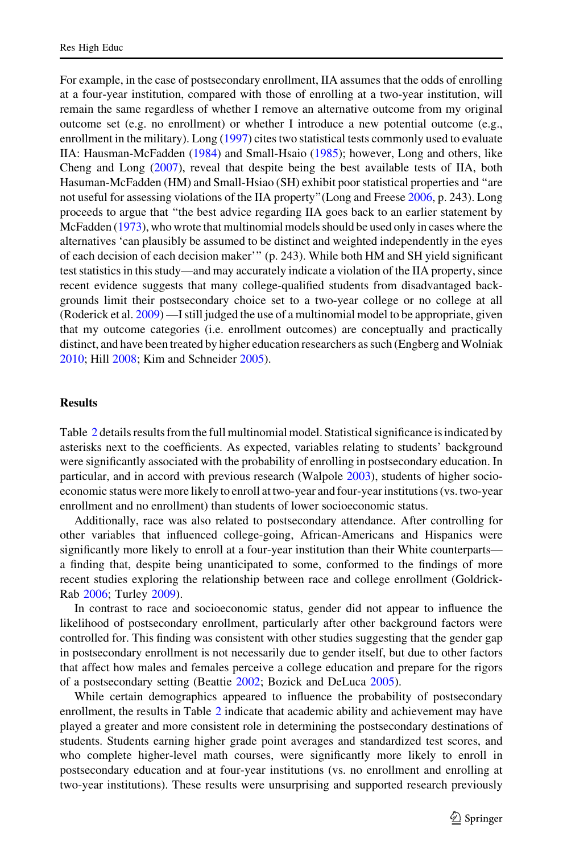For example, in the case of postsecondary enrollment, IIA assumes that the odds of enrolling at a four-year institution, compared with those of enrolling at a two-year institution, will remain the same regardless of whether I remove an alternative outcome from my original outcome set (e.g. no enrollment) or whether I introduce a new potential outcome (e.g., enrollment in the military). Long ([1997\)](#page-21-0) cites two statistical tests commonly used to evaluate IIA: Hausman-McFadden ([1984\)](#page-20-0) and Small-Hsaio [\(1985](#page-22-0)); however, Long and others, like Cheng and Long [\(2007](#page-19-0)), reveal that despite being the best available tests of IIA, both Hasuman-McFadden (HM) and Small-Hsiao (SH) exhibit poor statistical properties and ''are not useful for assessing violations of the IIA property''(Long and Freese [2006,](#page-21-0) p. 243). Long proceeds to argue that ''the best advice regarding IIA goes back to an earlier statement by McFadden ([1973\)](#page-21-0), who wrote that multinomial models should be used only in cases where the alternatives 'can plausibly be assumed to be distinct and weighted independently in the eyes of each decision of each decision maker''' (p. 243). While both HM and SH yield significant test statistics in this study—and may accurately indicate a violation of the IIA property, since recent evidence suggests that many college-qualified students from disadvantaged backgrounds limit their postsecondary choice set to a two-year college or no college at all (Roderick et al. [2009\)](#page-22-0) —I still judged the use of a multinomial model to be appropriate, given that my outcome categories (i.e. enrollment outcomes) are conceptually and practically distinct, and have been treated by higher education researchers as such (Engberg and Wolniak [2010;](#page-20-0) Hill [2008;](#page-20-0) Kim and Schneider [2005](#page-21-0)).

#### Results

Table [2](#page-13-0) details results from the full multinomial model. Statistical significance is indicated by asterisks next to the coefficients. As expected, variables relating to students' background were significantly associated with the probability of enrolling in postsecondary education. In particular, and in accord with previous research (Walpole [2003\)](#page-23-0), students of higher socioeconomic status were more likely to enroll at two-year and four-year institutions (vs. two-year enrollment and no enrollment) than students of lower socioeconomic status.

Additionally, race was also related to postsecondary attendance. After controlling for other variables that influenced college-going, African-Americans and Hispanics were significantly more likely to enroll at a four-year institution than their White counterparts a finding that, despite being unanticipated to some, conformed to the findings of more recent studies exploring the relationship between race and college enrollment (Goldrick-Rab [2006](#page-20-0); Turley [2009](#page-23-0)).

In contrast to race and socioeconomic status, gender did not appear to influence the likelihood of postsecondary enrollment, particularly after other background factors were controlled for. This finding was consistent with other studies suggesting that the gender gap in postsecondary enrollment is not necessarily due to gender itself, but due to other factors that affect how males and females perceive a college education and prepare for the rigors of a postsecondary setting (Beattie [2002](#page-19-0); Bozick and DeLuca [2005](#page-19-0)).

While certain demographics appeared to influence the probability of postsecondary enrollment, the results in Table [2](#page-13-0) indicate that academic ability and achievement may have played a greater and more consistent role in determining the postsecondary destinations of students. Students earning higher grade point averages and standardized test scores, and who complete higher-level math courses, were significantly more likely to enroll in postsecondary education and at four-year institutions (vs. no enrollment and enrolling at two-year institutions). These results were unsurprising and supported research previously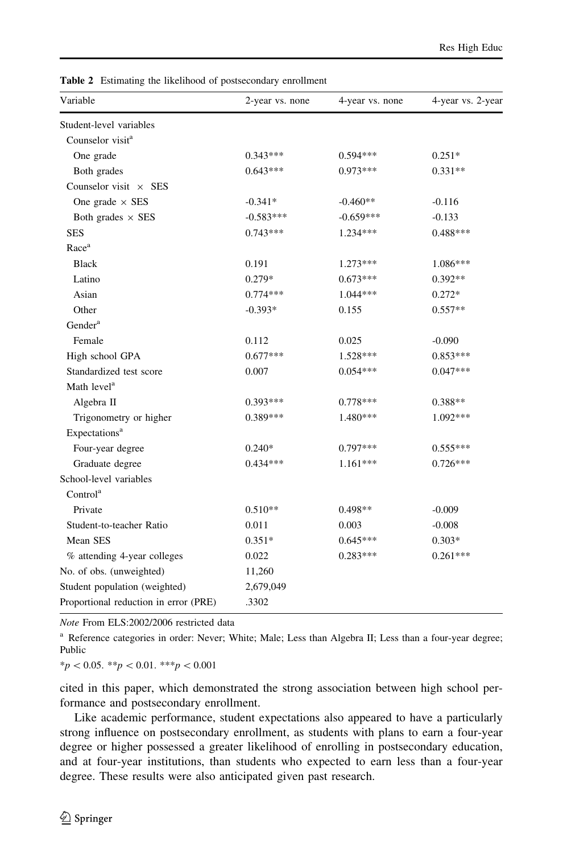| Variable                              | 2-year vs. none | 4-year vs. none | 4-year vs. 2-year |
|---------------------------------------|-----------------|-----------------|-------------------|
| Student-level variables               |                 |                 |                   |
| Counselor visit <sup>a</sup>          |                 |                 |                   |
| One grade                             | $0.343***$      | $0.594***$      | $0.251*$          |
| Both grades                           | $0.643***$      | $0.973***$      | $0.331**$         |
| Counselor visit $\times$ SES          |                 |                 |                   |
| One grade $\times$ SES                | $-0.341*$       | $-0.460**$      | $-0.116$          |
| Both grades $\times$ SES              | $-0.583***$     | $-0.659***$     | $-0.133$          |
| <b>SES</b>                            | $0.743***$      | $1.234***$      | $0.488***$        |
| Race <sup>a</sup>                     |                 |                 |                   |
| <b>Black</b>                          | 0.191           | $1.273***$      | 1.086***          |
| Latino                                | $0.279*$        | $0.673***$      | $0.392**$         |
| Asian                                 | $0.774***$      | $1.044***$      | $0.272*$          |
| Other                                 | $-0.393*$       | 0.155           | $0.557**$         |
| Gender <sup>a</sup>                   |                 |                 |                   |
| Female                                | 0.112           | 0.025           | $-0.090$          |
| High school GPA                       | $0.677***$      | 1.528***        | $0.853***$        |
| Standardized test score               | 0.007           | $0.054***$      | $0.047***$        |
| Math level <sup>a</sup>               |                 |                 |                   |
| Algebra II                            | $0.393***$      | $0.778***$      | $0.388**$         |
| Trigonometry or higher                | $0.389***$      | $1.480***$      | $1.092***$        |
| Expectations <sup>a</sup>             |                 |                 |                   |
| Four-year degree                      | $0.240*$        | 0.797***        | $0.555***$        |
| Graduate degree                       | $0.434***$      | $1.161***$      | $0.726***$        |
| School-level variables                |                 |                 |                   |
| Control <sup>a</sup>                  |                 |                 |                   |
| Private                               | $0.510**$       | $0.498**$       | $-0.009$          |
| Student-to-teacher Ratio              | 0.011           | 0.003           | $-0.008$          |
| Mean SES                              | $0.351*$        | $0.645***$      | $0.303*$          |
| % attending 4-year colleges           | 0.022           | 0.283***        | $0.261***$        |
| No. of obs. (unweighted)              | 11,260          |                 |                   |
| Student population (weighted)         | 2,679,049       |                 |                   |
| Proportional reduction in error (PRE) | .3302           |                 |                   |
|                                       |                 |                 |                   |

<span id="page-13-0"></span>Table 2 Estimating the likelihood of postsecondary enrollment

Note From ELS:2002/2006 restricted data

<sup>a</sup> Reference categories in order: Never; White; Male; Less than Algebra II; Less than a four-year degree; Public

 $*_{p}$  < 0.05.  $*_{p}$  < 0.01.  $*_{p}$  < 0.001

cited in this paper, which demonstrated the strong association between high school performance and postsecondary enrollment.

Like academic performance, student expectations also appeared to have a particularly strong influence on postsecondary enrollment, as students with plans to earn a four-year degree or higher possessed a greater likelihood of enrolling in postsecondary education, and at four-year institutions, than students who expected to earn less than a four-year degree. These results were also anticipated given past research.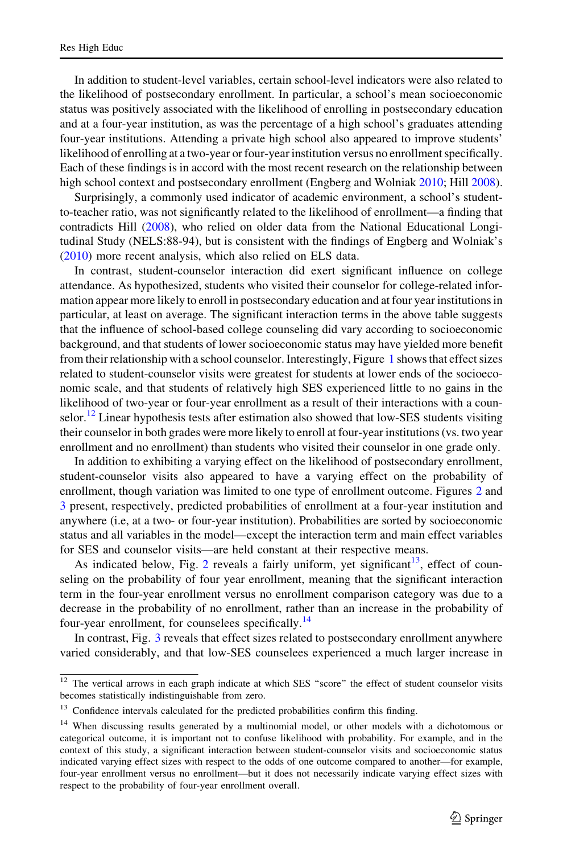In addition to student-level variables, certain school-level indicators were also related to the likelihood of postsecondary enrollment. In particular, a school's mean socioeconomic status was positively associated with the likelihood of enrolling in postsecondary education and at a four-year institution, as was the percentage of a high school's graduates attending four-year institutions. Attending a private high school also appeared to improve students' likelihood of enrolling at a two-year or four-year institution versus no enrollment specifically. Each of these findings is in accord with the most recent research on the relationship between high school context and postsecondary enrollment (Engberg and Wolniak [2010](#page-20-0); Hill [2008](#page-20-0)).

Surprisingly, a commonly used indicator of academic environment, a school's studentto-teacher ratio, was not significantly related to the likelihood of enrollment—a finding that contradicts Hill ([2008\)](#page-20-0), who relied on older data from the National Educational Longitudinal Study (NELS:88-94), but is consistent with the findings of Engberg and Wolniak's ([2010\)](#page-20-0) more recent analysis, which also relied on ELS data.

In contrast, student-counselor interaction did exert significant influence on college attendance. As hypothesized, students who visited their counselor for college-related information appear more likely to enroll in postsecondary education and at four year institutions in particular, at least on average. The significant interaction terms in the above table suggests that the influence of school-based college counseling did vary according to socioeconomic background, and that students of lower socioeconomic status may have yielded more benefit from their relationship with a school counselor. Interestingly, Figure [1](#page-15-0) shows that effect sizes related to student-counselor visits were greatest for students at lower ends of the socioeconomic scale, and that students of relatively high SES experienced little to no gains in the likelihood of two-year or four-year enrollment as a result of their interactions with a counselor.<sup>12</sup> Linear hypothesis tests after estimation also showed that low-SES students visiting their counselor in both grades were more likely to enroll at four-year institutions (vs. two year enrollment and no enrollment) than students who visited their counselor in one grade only.

In addition to exhibiting a varying effect on the likelihood of postsecondary enrollment, student-counselor visits also appeared to have a varying effect on the probability of enrollment, though variation was limited to one type of enrollment outcome. Figures [2](#page-15-0) and [3](#page-16-0) present, respectively, predicted probabilities of enrollment at a four-year institution and anywhere (i.e, at a two- or four-year institution). Probabilities are sorted by socioeconomic status and all variables in the model—except the interaction term and main effect variables for SES and counselor visits—are held constant at their respective means.

As indicated below, Fig. [2](#page-15-0) reveals a fairly uniform, yet significant<sup>13</sup>, effect of counseling on the probability of four year enrollment, meaning that the significant interaction term in the four-year enrollment versus no enrollment comparison category was due to a decrease in the probability of no enrollment, rather than an increase in the probability of four-year enrollment, for counselees specifically.<sup>14</sup>

In contrast, Fig. [3](#page-16-0) reveals that effect sizes related to postsecondary enrollment anywhere varied considerably, and that low-SES counselees experienced a much larger increase in

<sup>&</sup>lt;sup>12</sup> The vertical arrows in each graph indicate at which SES "score" the effect of student counselor visits becomes statistically indistinguishable from zero.

<sup>&</sup>lt;sup>13</sup> Confidence intervals calculated for the predicted probabilities confirm this finding.

<sup>&</sup>lt;sup>14</sup> When discussing results generated by a multinomial model, or other models with a dichotomous or categorical outcome, it is important not to confuse likelihood with probability. For example, and in the context of this study, a significant interaction between student-counselor visits and socioeconomic status indicated varying effect sizes with respect to the odds of one outcome compared to another—for example, four-year enrollment versus no enrollment—but it does not necessarily indicate varying effect sizes with respect to the probability of four-year enrollment overall.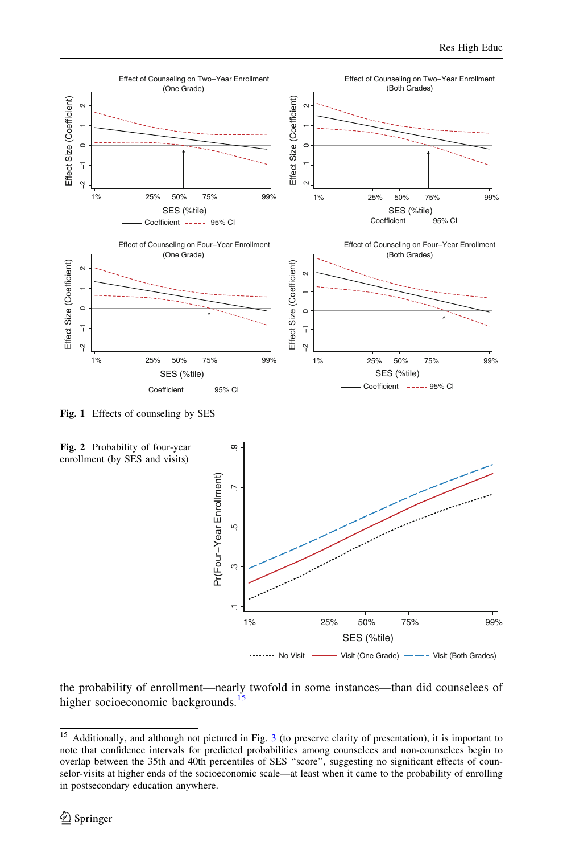<span id="page-15-0"></span>

Fig. 1 Effects of counseling by SES

Fig. 2 Probability of four-year enrollment (by SES and visits)



the probability of enrollment—nearly twofold in some instances—than did counselees of

<sup>&</sup>lt;sup>15</sup> Additionally, and although not pictured in Fig. [3](#page-16-0) (to preserve clarity of presentation), it is important to note that confidence intervals for predicted probabilities among counselees and non-counselees begin to overlap between the 35th and 40th percentiles of SES ''score'', suggesting no significant effects of counselor-visits at higher ends of the socioeconomic scale—at least when it came to the probability of enrolling in postsecondary education anywhere.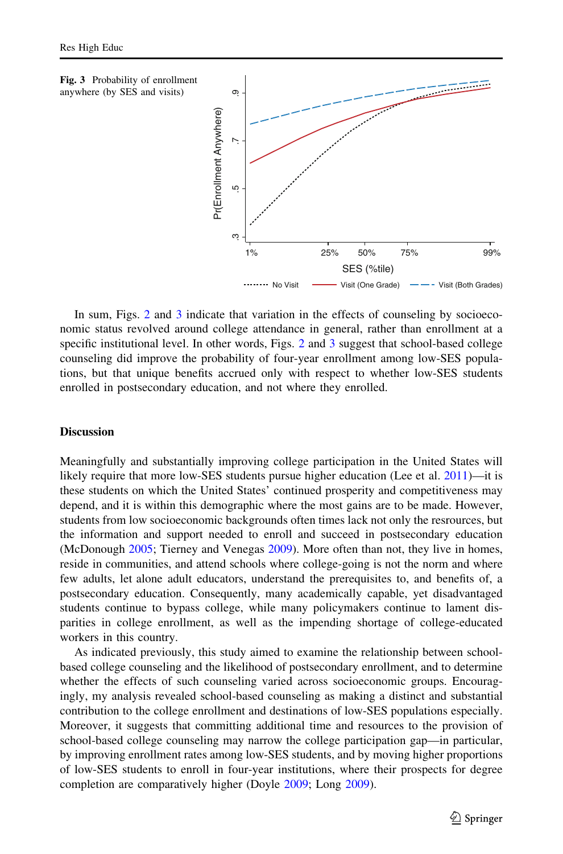<span id="page-16-0"></span>

In sum, Figs. [2](#page-15-0) and 3 indicate that variation in the effects of counseling by socioeconomic status revolved around college attendance in general, rather than enrollment at a specific institutional level. In other words, Figs. [2](#page-15-0) and 3 suggest that school-based college counseling did improve the probability of four-year enrollment among low-SES populations, but that unique benefits accrued only with respect to whether low-SES students enrolled in postsecondary education, and not where they enrolled.

## **Discussion**

Meaningfully and substantially improving college participation in the United States will likely require that more low-SES students pursue higher education (Lee et al. [2011\)](#page-21-0)—it is these students on which the United States' continued prosperity and competitiveness may depend, and it is within this demographic where the most gains are to be made. However, students from low socioeconomic backgrounds often times lack not only the resrources, but the information and support needed to enroll and succeed in postsecondary education (McDonough [2005;](#page-21-0) Tierney and Venegas [2009](#page-23-0)). More often than not, they live in homes, reside in communities, and attend schools where college-going is not the norm and where few adults, let alone adult educators, understand the prerequisites to, and benefits of, a postsecondary education. Consequently, many academically capable, yet disadvantaged students continue to bypass college, while many policymakers continue to lament disparities in college enrollment, as well as the impending shortage of college-educated workers in this country.

As indicated previously, this study aimed to examine the relationship between schoolbased college counseling and the likelihood of postsecondary enrollment, and to determine whether the effects of such counseling varied across socioeconomic groups. Encouragingly, my analysis revealed school-based counseling as making a distinct and substantial contribution to the college enrollment and destinations of low-SES populations especially. Moreover, it suggests that committing additional time and resources to the provision of school-based college counseling may narrow the college participation gap—in particular, by improving enrollment rates among low-SES students, and by moving higher proportions of low-SES students to enroll in four-year institutions, where their prospects for degree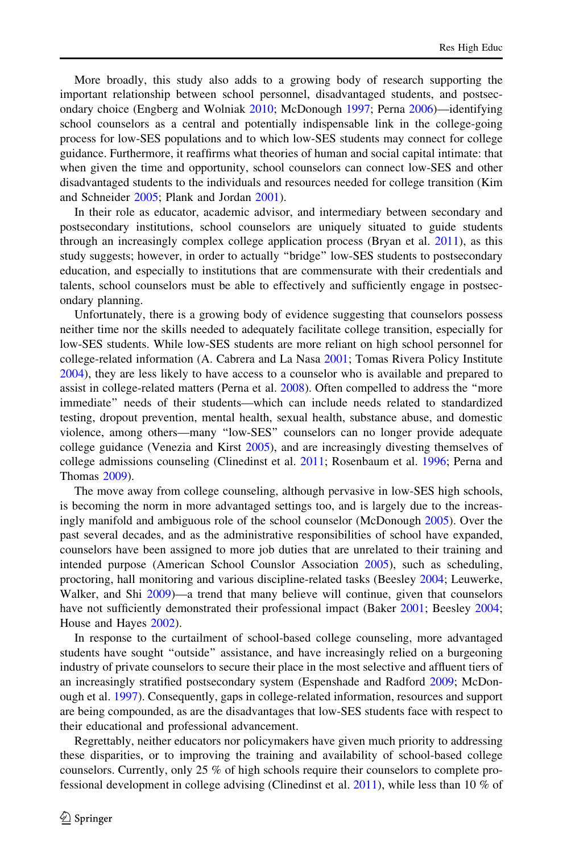More broadly, this study also adds to a growing body of research supporting the important relationship between school personnel, disadvantaged students, and postsecondary choice (Engberg and Wolniak [2010;](#page-20-0) McDonough [1997](#page-21-0); Perna [2006](#page-22-0))—identifying school counselors as a central and potentially indispensable link in the college-going process for low-SES populations and to which low-SES students may connect for college guidance. Furthermore, it reaffirms what theories of human and social capital intimate: that when given the time and opportunity, school counselors can connect low-SES and other disadvantaged students to the individuals and resources needed for college transition (Kim and Schneider [2005;](#page-21-0) Plank and Jordan [2001](#page-22-0)).

In their role as educator, academic advisor, and intermediary between secondary and postsecondary institutions, school counselors are uniquely situated to guide students through an increasingly complex college application process (Bryan et al. [2011](#page-19-0)), as this study suggests; however, in order to actually ''bridge'' low-SES students to postsecondary education, and especially to institutions that are commensurate with their credentials and talents, school counselors must be able to effectively and sufficiently engage in postsecondary planning.

Unfortunately, there is a growing body of evidence suggesting that counselors possess neither time nor the skills needed to adequately facilitate college transition, especially for low-SES students. While low-SES students are more reliant on high school personnel for college-related information (A. Cabrera and La Nasa [2001](#page-19-0); Tomas Rivera Policy Institute [2004\)](#page-23-0), they are less likely to have access to a counselor who is available and prepared to assist in college-related matters (Perna et al. [2008\)](#page-22-0). Often compelled to address the ''more immediate'' needs of their students—which can include needs related to standardized testing, dropout prevention, mental health, sexual health, substance abuse, and domestic violence, among others—many ''low-SES'' counselors can no longer provide adequate college guidance (Venezia and Kirst [2005\)](#page-23-0), and are increasingly divesting themselves of college admissions counseling (Clinedinst et al. [2011](#page-20-0); Rosenbaum et al. [1996](#page-22-0); Perna and Thomas [2009](#page-22-0)).

The move away from college counseling, although pervasive in low-SES high schools, is becoming the norm in more advantaged settings too, and is largely due to the increasingly manifold and ambiguous role of the school counselor (McDonough [2005\)](#page-21-0). Over the past several decades, and as the administrative responsibilities of school have expanded, counselors have been assigned to more job duties that are unrelated to their training and intended purpose (American School Counslor Association [2005\)](#page-19-0), such as scheduling, proctoring, hall monitoring and various discipline-related tasks (Beesley [2004;](#page-19-0) Leuwerke, Walker, and Shi [2009\)](#page-21-0)—a trend that many believe will continue, given that counselors have not sufficiently demonstrated their professional impact (Baker [2001;](#page-19-0) Beesley [2004;](#page-19-0) House and Hayes [2002\)](#page-21-0).

In response to the curtailment of school-based college counseling, more advantaged students have sought ''outside'' assistance, and have increasingly relied on a burgeoning industry of private counselors to secure their place in the most selective and affluent tiers of an increasingly stratified postsecondary system (Espenshade and Radford [2009;](#page-20-0) McDonough et al. [1997\)](#page-21-0). Consequently, gaps in college-related information, resources and support are being compounded, as are the disadvantages that low-SES students face with respect to their educational and professional advancement.

Regrettably, neither educators nor policymakers have given much priority to addressing these disparities, or to improving the training and availability of school-based college counselors. Currently, only 25 % of high schools require their counselors to complete professional development in college advising (Clinedinst et al. [2011\)](#page-20-0), while less than 10 % of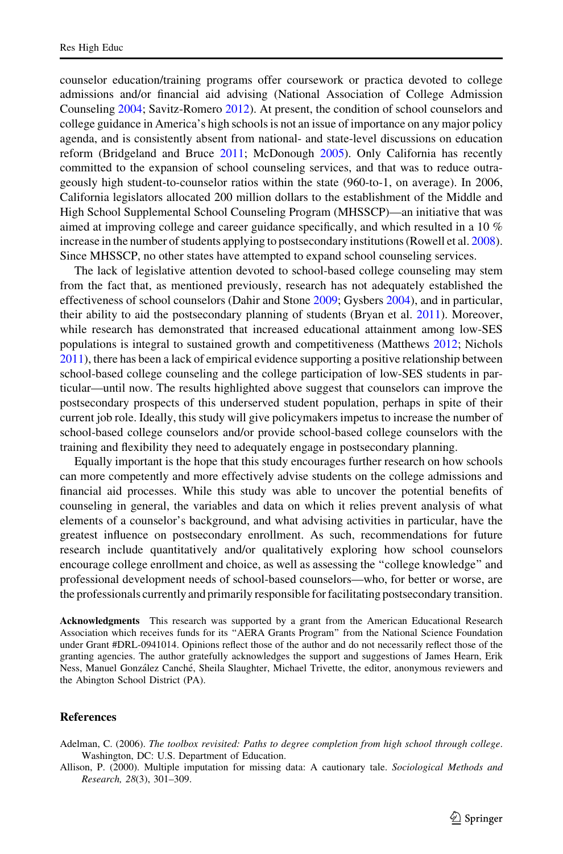<span id="page-18-0"></span>counselor education/training programs offer coursework or practica devoted to college admissions and/or financial aid advising (National Association of College Admission Counseling [2004](#page-21-0); Savitz-Romero [2012\)](#page-22-0). At present, the condition of school counselors and college guidance in America's high schools is not an issue of importance on any major policy agenda, and is consistently absent from national- and state-level discussions on education reform (Bridgeland and Bruce [2011;](#page-19-0) McDonough [2005\)](#page-21-0). Only California has recently committed to the expansion of school counseling services, and that was to reduce outrageously high student-to-counselor ratios within the state (960-to-1, on average). In 2006, California legislators allocated 200 million dollars to the establishment of the Middle and High School Supplemental School Counseling Program (MHSSCP)—an initiative that was aimed at improving college and career guidance specifically, and which resulted in a 10 % increase in the number of students applying to postsecondary institutions (Rowell et al. [2008](#page-22-0)). Since MHSSCP, no other states have attempted to expand school counseling services.

The lack of legislative attention devoted to school-based college counseling may stem from the fact that, as mentioned previously, research has not adequately established the effectiveness of school counselors (Dahir and Stone [2009;](#page-20-0) Gysbers [2004\)](#page-20-0), and in particular, their ability to aid the postsecondary planning of students (Bryan et al. [2011](#page-19-0)). Moreover, while research has demonstrated that increased educational attainment among low-SES populations is integral to sustained growth and competitiveness (Matthews [2012](#page-21-0); Nichols [2011\)](#page-21-0), there has been a lack of empirical evidence supporting a positive relationship between school-based college counseling and the college participation of low-SES students in particular—until now. The results highlighted above suggest that counselors can improve the postsecondary prospects of this underserved student population, perhaps in spite of their current job role. Ideally, this study will give policymakers impetus to increase the number of school-based college counselors and/or provide school-based college counselors with the training and flexibility they need to adequately engage in postsecondary planning.

Equally important is the hope that this study encourages further research on how schools can more competently and more effectively advise students on the college admissions and financial aid processes. While this study was able to uncover the potential benefits of counseling in general, the variables and data on which it relies prevent analysis of what elements of a counselor's background, and what advising activities in particular, have the greatest influence on postsecondary enrollment. As such, recommendations for future research include quantitatively and/or qualitatively exploring how school counselors encourage college enrollment and choice, as well as assessing the ''college knowledge'' and professional development needs of school-based counselors—who, for better or worse, are the professionals currently and primarily responsible for facilitating postsecondary transition.

Acknowledgments This research was supported by a grant from the American Educational Research Association which receives funds for its ''AERA Grants Program'' from the National Science Foundation under Grant #DRL-0941014. Opinions reflect those of the author and do not necessarily reflect those of the granting agencies. The author gratefully acknowledges the support and suggestions of James Hearn, Erik Ness, Manuel González Canché, Sheila Slaughter, Michael Trivette, the editor, anonymous reviewers and the Abington School District (PA).

## **References**

Adelman, C. (2006). The toolbox revisited: Paths to degree completion from high school through college. Washington, DC: U.S. Department of Education.

Allison, P. (2000). Multiple imputation for missing data: A cautionary tale. Sociological Methods and Research, 28(3), 301–309.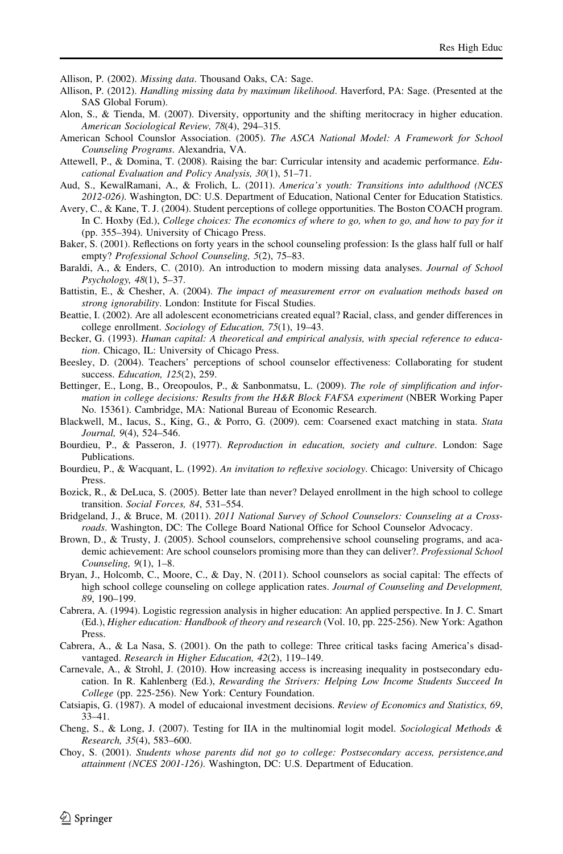<span id="page-19-0"></span>Allison, P. (2002). *Missing data*. Thousand Oaks, CA: Sage.

- Allison, P. (2012). Handling missing data by maximum likelihood. Haverford, PA: Sage. (Presented at the SAS Global Forum).
- Alon, S., & Tienda, M. (2007). Diversity, opportunity and the shifting meritocracy in higher education. American Sociological Review, 78(4), 294–315.
- American School Counslor Association. (2005). The ASCA National Model: A Framework for School Counseling Programs. Alexandria, VA.
- Attewell, P., & Domina, T. (2008). Raising the bar: Curricular intensity and academic performance. Educational Evaluation and Policy Analysis, 30(1), 51–71.
- Aud, S., KewalRamani, A., & Frolich, L. (2011). America's youth: Transitions into adulthood (NCES 2012-026). Washington, DC: U.S. Department of Education, National Center for Education Statistics.
- Avery, C., & Kane, T. J. (2004). Student perceptions of college opportunities. The Boston COACH program. In C. Hoxby (Ed.), College choices: The economics of where to go, when to go, and how to pay for it (pp. 355–394). University of Chicago Press.
- Baker, S. (2001). Reflections on forty years in the school counseling profession: Is the glass half full or half empty? Professional School Counseling, 5(2), 75–83.
- Baraldi, A., & Enders, C. (2010). An introduction to modern missing data analyses. Journal of School Psychology, 48(1), 5–37.
- Battistin, E., & Chesher, A. (2004). The impact of measurement error on evaluation methods based on strong ignorability. London: Institute for Fiscal Studies.
- Beattie, I. (2002). Are all adolescent econometricians created equal? Racial, class, and gender differences in college enrollment. Sociology of Education, 75(1), 19–43.
- Becker, G. (1993). Human capital: A theoretical and empirical analysis, with special reference to education. Chicago, IL: University of Chicago Press.
- Beesley, D. (2004). Teachers' perceptions of school counselor effectiveness: Collaborating for student success. Education, 125(2), 259.
- Bettinger, E., Long, B., Oreopoulos, P., & Sanbonmatsu, L. (2009). The role of simplification and information in college decisions: Results from the H&R Block FAFSA experiment (NBER Working Paper No. 15361). Cambridge, MA: National Bureau of Economic Research.
- Blackwell, M., Iacus, S., King, G., & Porro, G. (2009). cem: Coarsened exact matching in stata. Stata Journal, 9(4), 524–546.
- Bourdieu, P., & Passeron, J. (1977). Reproduction in education, society and culture. London: Sage Publications.
- Bourdieu, P., & Wacquant, L. (1992). An invitation to reflexive sociology. Chicago: University of Chicago Press.
- Bozick, R., & DeLuca, S. (2005). Better late than never? Delayed enrollment in the high school to college transition. Social Forces, 84, 531–554.
- Bridgeland, J., & Bruce, M. (2011). 2011 National Survey of School Counselors: Counseling at a Crossroads. Washington, DC: The College Board National Office for School Counselor Advocacy.
- Brown, D., & Trusty, J. (2005). School counselors, comprehensive school counseling programs, and academic achievement: Are school counselors promising more than they can deliver?. Professional School Counseling, 9(1), 1–8.
- Bryan, J., Holcomb, C., Moore, C., & Day, N. (2011). School counselors as social capital: The effects of high school college counseling on college application rates. Journal of Counseling and Development, 89, 190–199.
- Cabrera, A. (1994). Logistic regression analysis in higher education: An applied perspective. In J. C. Smart (Ed.), Higher education: Handbook of theory and research (Vol. 10, pp. 225-256). New York: Agathon Press.
- Cabrera, A., & La Nasa, S. (2001). On the path to college: Three critical tasks facing America's disadvantaged. Research in Higher Education, 42(2), 119–149.
- Carnevale, A., & Strohl, J. (2010). How increasing access is increasing inequality in postsecondary education. In R. Kahlenberg (Ed.), Rewarding the Strivers: Helping Low Income Students Succeed In College (pp. 225-256). New York: Century Foundation.
- Catsiapis, G. (1987). A model of educaional investment decisions. Review of Economics and Statistics, 69, 33–41.
- Cheng, S., & Long, J. (2007). Testing for IIA in the multinomial logit model. Sociological Methods & Research, 35(4), 583–600.
- Choy, S. (2001). Students whose parents did not go to college: Postsecondary access, persistence,and attainment (NCES 2001-126). Washington, DC: U.S. Department of Education.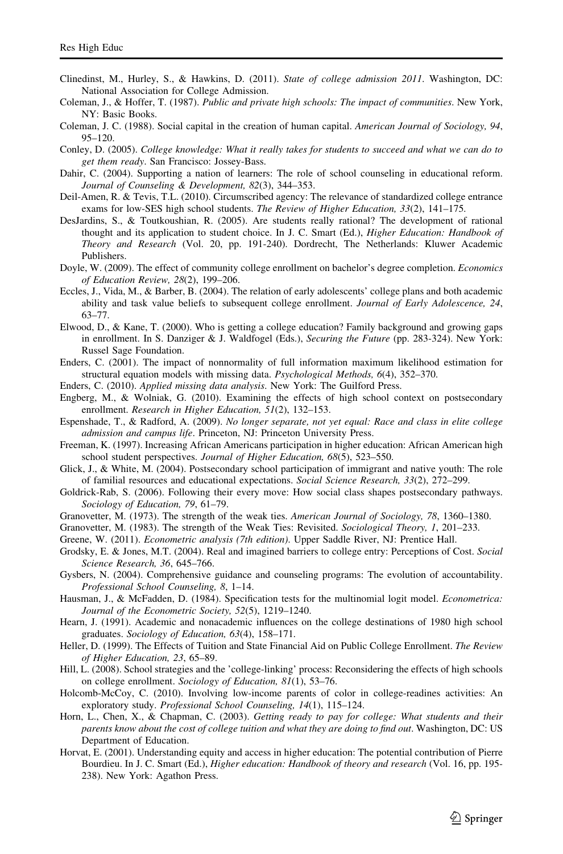- <span id="page-20-0"></span>Clinedinst, M., Hurley, S., & Hawkins, D. (2011). State of college admission 2011. Washington, DC: National Association for College Admission.
- Coleman, J., & Hoffer, T. (1987). Public and private high schools: The impact of communities. New York, NY: Basic Books.
- Coleman, J. C. (1988). Social capital in the creation of human capital. American Journal of Sociology, 94, 95–120.
- Conley, D. (2005). College knowledge: What it really takes for students to succeed and what we can do to get them ready. San Francisco: Jossey-Bass.
- Dahir, C. (2004). Supporting a nation of learners: The role of school counseling in educational reform. Journal of Counseling & Development, 82(3), 344–353.
- Deil-Amen, R. & Tevis, T.L. (2010). Circumscribed agency: The relevance of standardized college entrance exams for low-SES high school students. The Review of Higher Education, 33(2), 141–175.
- DesJardins, S., & Toutkoushian, R. (2005). Are students really rational? The development of rational thought and its application to student choice. In J. C. Smart (Ed.), *Higher Education: Handbook of* Theory and Research (Vol. 20, pp. 191-240). Dordrecht, The Netherlands: Kluwer Academic Publishers.
- Doyle, W. (2009). The effect of community college enrollment on bachelor's degree completion. *Economics* of Education Review, 28(2), 199–206.
- Eccles, J., Vida, M., & Barber, B. (2004). The relation of early adolescents' college plans and both academic ability and task value beliefs to subsequent college enrollment. Journal of Early Adolescence, 24, 63–77.
- Elwood, D., & Kane, T. (2000). Who is getting a college education? Family background and growing gaps in enrollment. In S. Danziger & J. Waldfogel (Eds.), Securing the Future (pp. 283-324). New York: Russel Sage Foundation.
- Enders, C. (2001). The impact of nonnormality of full information maximum likelihood estimation for structural equation models with missing data. Psychological Methods, 6(4), 352–370.
- Enders, C. (2010). Applied missing data analysis. New York: The Guilford Press.
- Engberg, M., & Wolniak, G. (2010). Examining the effects of high school context on postsecondary enrollment. *Research in Higher Education*, 51(2), 132–153.
- Espenshade, T., & Radford, A. (2009). No longer separate, not yet equal: Race and class in elite college admission and campus life. Princeton, NJ: Princeton University Press.
- Freeman, K. (1997). Increasing African Americans participation in higher education: African American high school student perspectives. Journal of Higher Education, 68(5), 523–550.
- Glick, J., & White, M. (2004). Postsecondary school participation of immigrant and native youth: The role of familial resources and educational expectations. Social Science Research, 33(2), 272–299.
- Goldrick-Rab, S. (2006). Following their every move: How social class shapes postsecondary pathways. Sociology of Education, 79, 61–79.
- Granovetter, M. (1973). The strength of the weak ties. American Journal of Sociology, 78, 1360–1380.
- Granovetter, M. (1983). The strength of the Weak Ties: Revisited. Sociological Theory, 1, 201–233.

Greene, W. (2011). *Econometric analysis (7th edition)*. Upper Saddle River, NJ: Prentice Hall.

- Grodsky, E. & Jones, M.T. (2004). Real and imagined barriers to college entry: Perceptions of Cost. Social Science Research, 36, 645–766.
- Gysbers, N. (2004). Comprehensive guidance and counseling programs: The evolution of accountability. Professional School Counseling, 8, 1–14.
- Hausman, J., & McFadden, D. (1984). Specification tests for the multinomial logit model. *Econometrica*: Journal of the Econometric Society, 52(5), 1219–1240.
- Hearn, J. (1991). Academic and nonacademic influences on the college destinations of 1980 high school graduates. Sociology of Education, 63(4), 158–171.
- Heller, D. (1999). The Effects of Tuition and State Financial Aid on Public College Enrollment. The Review of Higher Education, 23, 65–89.
- Hill, L. (2008). School strategies and the 'college-linking' process: Reconsidering the effects of high schools on college enrollment. Sociology of Education, 81(1), 53–76.
- Holcomb-McCoy, C. (2010). Involving low-income parents of color in college-readines activities: An exploratory study. Professional School Counseling, 14(1), 115–124.
- Horn, L., Chen, X., & Chapman, C. (2003). Getting ready to pay for college: What students and their parents know about the cost of college tuition and what they are doing to find out. Washington, DC: US Department of Education.
- Horvat, E. (2001). Understanding equity and access in higher education: The potential contribution of Pierre Bourdieu. In J. C. Smart (Ed.), Higher education: Handbook of theory and research (Vol. 16, pp. 195- 238). New York: Agathon Press.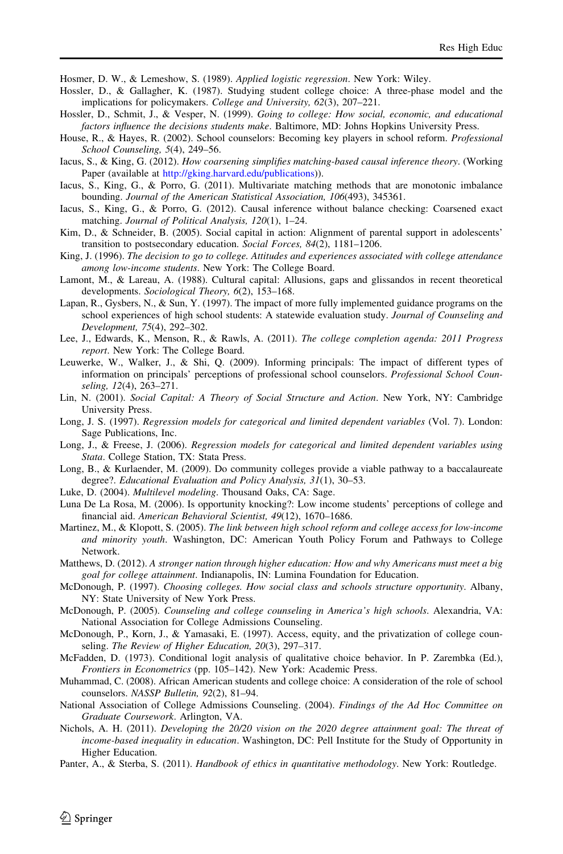<span id="page-21-0"></span>Hosmer, D. W., & Lemeshow, S. (1989). Applied logistic regression. New York: Wiley.

- Hossler, D., & Gallagher, K. (1987). Studying student college choice: A three-phase model and the implications for policymakers. College and University, 62(3), 207–221.
- Hossler, D., Schmit, J., & Vesper, N. (1999). Going to college: How social, economic, and educational factors influence the decisions students make. Baltimore, MD: Johns Hopkins University Press.
- House, R., & Hayes, R. (2002). School counselors: Becoming key players in school reform. Professional School Counseling, 5(4), 249-56.
- Iacus, S., & King, G. (2012). How coarsening simplifies matching-based causal inference theory. (Working Paper (available at [http://gking.harvard.edu/publications\)](http://gking.harvard.edu/publications)).
- Iacus, S., King, G., & Porro, G. (2011). Multivariate matching methods that are monotonic imbalance bounding. Journal of the American Statistical Association, 106(493), 345361.
- Iacus, S., King, G., & Porro, G. (2012). Causal inference without balance checking: Coarsened exact matching. Journal of Political Analysis, 120(1), 1–24.
- Kim, D., & Schneider, B. (2005). Social capital in action: Alignment of parental support in adolescents' transition to postsecondary education. Social Forces, 84(2), 1181–1206.
- King, J. (1996). The decision to go to college. Attitudes and experiences associated with college attendance among low-income students. New York: The College Board.
- Lamont, M., & Lareau, A. (1988). Cultural capital: Allusions, gaps and glissandos in recent theoretical developments. Sociological Theory, 6(2), 153–168.
- Lapan, R., Gysbers, N., & Sun, Y. (1997). The impact of more fully implemented guidance programs on the school experiences of high school students: A statewide evaluation study. Journal of Counseling and Development, 75(4), 292–302.
- Lee, J., Edwards, K., Menson, R., & Rawls, A. (2011). The college completion agenda: 2011 Progress report. New York: The College Board.
- Leuwerke, W., Walker, J., & Shi, Q. (2009). Informing principals: The impact of different types of information on principals' perceptions of professional school counselors. Professional School Counseling, 12(4), 263–271.
- Lin, N. (2001). Social Capital: A Theory of Social Structure and Action. New York, NY: Cambridge University Press.
- Long, J. S. (1997). Regression models for categorical and limited dependent variables (Vol. 7). London: Sage Publications, Inc.
- Long, J., & Freese, J. (2006). Regression models for categorical and limited dependent variables using Stata. College Station, TX: Stata Press.
- Long, B., & Kurlaender, M. (2009). Do community colleges provide a viable pathway to a baccalaureate degree?. Educational Evaluation and Policy Analysis, 31(1), 30–53.
- Luke, D. (2004). Multilevel modeling. Thousand Oaks, CA: Sage.
- Luna De La Rosa, M. (2006). Is opportunity knocking?: Low income students' perceptions of college and financial aid. American Behavioral Scientist, 49(12), 1670–1686.
- Martinez, M., & Klopott, S. (2005). The link between high school reform and college access for low-income and minority youth. Washington, DC: American Youth Policy Forum and Pathways to College Network.
- Matthews, D. (2012). A stronger nation through higher education: How and why Americans must meet a big goal for college attainment. Indianapolis, IN: Lumina Foundation for Education.
- McDonough, P. (1997). Choosing colleges. How social class and schools structure opportunity. Albany, NY: State University of New York Press.
- McDonough, P. (2005). Counseling and college counseling in America's high schools. Alexandria, VA: National Association for College Admissions Counseling.
- McDonough, P., Korn, J., & Yamasaki, E. (1997). Access, equity, and the privatization of college counseling. The Review of Higher Education, 20(3), 297–317.
- McFadden, D. (1973). Conditional logit analysis of qualitative choice behavior. In P. Zarembka (Ed.), Frontiers in Econometrics (pp. 105–142). New York: Academic Press.
- Muhammad, C. (2008). African American students and college choice: A consideration of the role of school counselors. NASSP Bulletin, 92(2), 81–94.
- National Association of College Admissions Counseling. (2004). Findings of the Ad Hoc Committee on Graduate Coursework. Arlington, VA.
- Nichols, A. H. (2011). Developing the 20/20 vision on the 2020 degree attainment goal: The threat of income-based inequality in education. Washington, DC: Pell Institute for the Study of Opportunity in Higher Education.
- Panter, A., & Sterba, S. (2011). Handbook of ethics in quantitative methodology. New York: Routledge.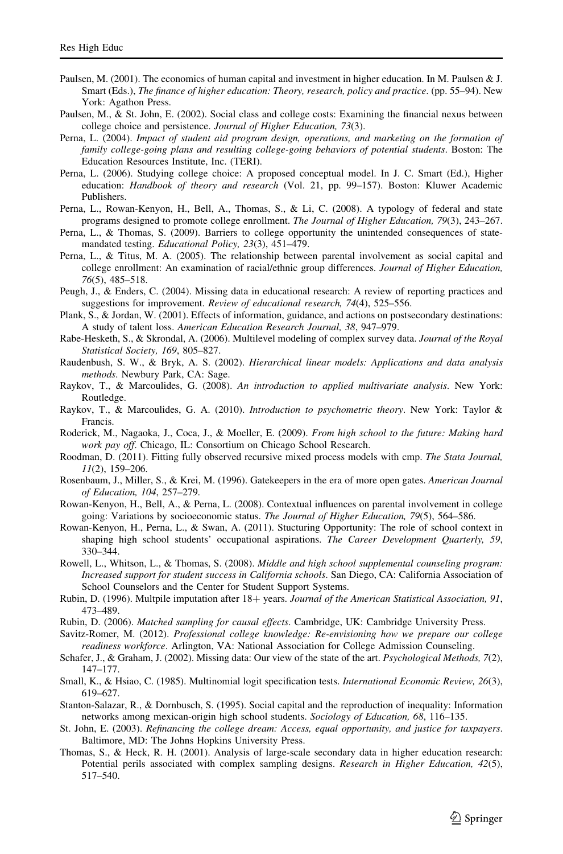- <span id="page-22-0"></span>Paulsen, M. (2001). The economics of human capital and investment in higher education. In M. Paulsen & J. Smart (Eds.), The finance of higher education: Theory, research, policy and practice. (pp. 55–94). New York: Agathon Press.
- Paulsen, M., & St. John, E. (2002). Social class and college costs: Examining the financial nexus between college choice and persistence. Journal of Higher Education, 73(3).
- Perna, L. (2004). Impact of student aid program design, operations, and marketing on the formation of family college-going plans and resulting college-going behaviors of potential students. Boston: The Education Resources Institute, Inc. (TERI).
- Perna, L. (2006). Studying college choice: A proposed conceptual model. In J. C. Smart (Ed.), Higher education: Handbook of theory and research (Vol. 21, pp. 99–157). Boston: Kluwer Academic Publishers.
- Perna, L., Rowan-Kenyon, H., Bell, A., Thomas, S., & Li, C. (2008). A typology of federal and state programs designed to promote college enrollment. The Journal of Higher Education, 79(3), 243–267.
- Perna, L., & Thomas, S. (2009). Barriers to college opportunity the unintended consequences of statemandated testing. Educational Policy, 23(3), 451–479.
- Perna, L., & Titus, M. A. (2005). The relationship between parental involvement as social capital and college enrollment: An examination of racial/ethnic group differences. Journal of Higher Education, 76(5), 485–518.
- Peugh, J., & Enders, C. (2004). Missing data in educational research: A review of reporting practices and suggestions for improvement. Review of educational research, 74(4), 525–556.
- Plank, S., & Jordan, W. (2001). Effects of information, guidance, and actions on postsecondary destinations: A study of talent loss. American Education Research Journal, 38, 947–979.
- Rabe-Hesketh, S., & Skrondal, A. (2006). Multilevel modeling of complex survey data. *Journal of the Royal* Statistical Society, 169, 805–827.
- Raudenbush, S. W., & Bryk, A. S. (2002). Hierarchical linear models: Applications and data analysis methods. Newbury Park, CA: Sage.
- Raykov, T., & Marcoulides, G. (2008). An introduction to applied multivariate analysis. New York: Routledge.
- Raykov, T., & Marcoulides, G. A. (2010). Introduction to psychometric theory. New York: Taylor & Francis.
- Roderick, M., Nagaoka, J., Coca, J., & Moeller, E. (2009). From high school to the future: Making hard work pay off. Chicago, IL: Consortium on Chicago School Research.
- Roodman, D. (2011). Fitting fully observed recursive mixed process models with cmp. The Stata Journal, 11(2), 159–206.
- Rosenbaum, J., Miller, S., & Krei, M. (1996). Gatekeepers in the era of more open gates. American Journal of Education, 104, 257–279.
- Rowan-Kenyon, H., Bell, A., & Perna, L. (2008). Contextual influences on parental involvement in college going: Variations by socioeconomic status. The Journal of Higher Education, 79(5), 564-586.
- Rowan-Kenyon, H., Perna, L., & Swan, A. (2011). Stucturing Opportunity: The role of school context in shaping high school students' occupational aspirations. The Career Development Quarterly, 59, 330–344.
- Rowell, L., Whitson, L., & Thomas, S. (2008). Middle and high school supplemental counseling program: Increased support for student success in California schools. San Diego, CA: California Association of School Counselors and the Center for Student Support Systems.
- Rubin, D. (1996). Multpile imputation after 18+ years. Journal of the American Statistical Association, 91, 473–489.
- Rubin, D. (2006). Matched sampling for causal effects. Cambridge, UK: Cambridge University Press.
- Savitz-Romer, M. (2012). Professional college knowledge: Re-envisioning how we prepare our college readiness workforce. Arlington, VA: National Association for College Admission Counseling.
- Schafer, J., & Graham, J. (2002). Missing data: Our view of the state of the art. Psychological Methods, 7(2), 147–177.
- Small, K., & Hsiao, C. (1985). Multinomial logit specification tests. *International Economic Review*, 26(3), 619–627.
- Stanton-Salazar, R., & Dornbusch, S. (1995). Social capital and the reproduction of inequality: Information networks among mexican-origin high school students. Sociology of Education, 68, 116–135.
- St. John, E. (2003). Refinancing the college dream: Access, equal opportunity, and justice for taxpayers. Baltimore, MD: The Johns Hopkins University Press.
- Thomas, S., & Heck, R. H. (2001). Analysis of large-scale secondary data in higher education research: Potential perils associated with complex sampling designs. Research in Higher Education, 42(5), 517–540.